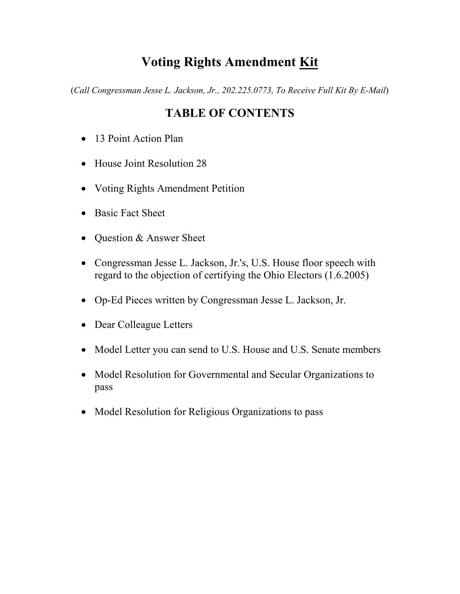## Voting Rights Amendment Kit

(Call Congressman Jesse L. Jackson, Jr., 202.225.0773, To Receive Full Kit By E-Mail)

### TABLE OF CONTENTS

- 13 Point Action Plan
- House Joint Resolution 28
- Voting Rights Amendment Petition
- Basic Fact Sheet
- Question & Answer Sheet
- Congressman Jesse L. Jackson, Jr.'s, U.S. House floor speech with regard to the objection of certifying the Ohio Electors (1.6.2005)
- Op-Ed Pieces written by Congressman Jesse L. Jackson, Jr.
- Dear Colleague Letters
- Model Letter you can send to U.S. House and U.S. Senate members
- Model Resolution for Governmental and Secular Organizations to pass
- Model Resolution for Religious Organizations to pass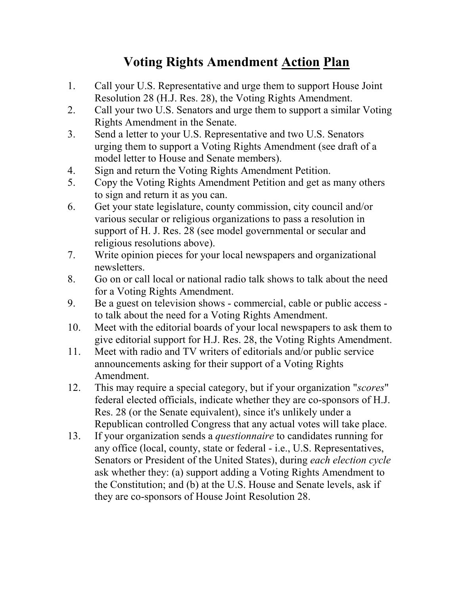# Voting Rights Amendment Action Plan

- 1. Call your U.S. Representative and urge them to support House Joint Resolution 28 (H.J. Res. 28), the Voting Rights Amendment.
- 2. Call your two U.S. Senators and urge them to support a similar Voting Rights Amendment in the Senate.
- 3. Send a letter to your U.S. Representative and two U.S. Senators urging them to support a Voting Rights Amendment (see draft of a model letter to House and Senate members).
- 4. Sign and return the Voting Rights Amendment Petition.
- 5. Copy the Voting Rights Amendment Petition and get as many others to sign and return it as you can.
- 6. Get your state legislature, county commission, city council and/or various secular or religious organizations to pass a resolution in support of H. J. Res. 28 (see model governmental or secular and religious resolutions above).
- 7. Write opinion pieces for your local newspapers and organizational newsletters.
- 8. Go on or call local or national radio talk shows to talk about the need for a Voting Rights Amendment.
- 9. Be a guest on television shows commercial, cable or public access to talk about the need for a Voting Rights Amendment.
- 10. Meet with the editorial boards of your local newspapers to ask them to give editorial support for H.J. Res. 28, the Voting Rights Amendment.
- 11. Meet with radio and TV writers of editorials and/or public service announcements asking for their support of a Voting Rights Amendment.
- 12. This may require a special category, but if your organization "scores" federal elected officials, indicate whether they are co-sponsors of H.J. Res. 28 (or the Senate equivalent), since it's unlikely under a Republican controlled Congress that any actual votes will take place.
- 13. If your organization sends a questionnaire to candidates running for any office (local, county, state or federal - i.e., U.S. Representatives, Senators or President of the United States), during each election cycle ask whether they: (a) support adding a Voting Rights Amendment to the Constitution; and (b) at the U.S. House and Senate levels, ask if they are co-sponsors of House Joint Resolution 28.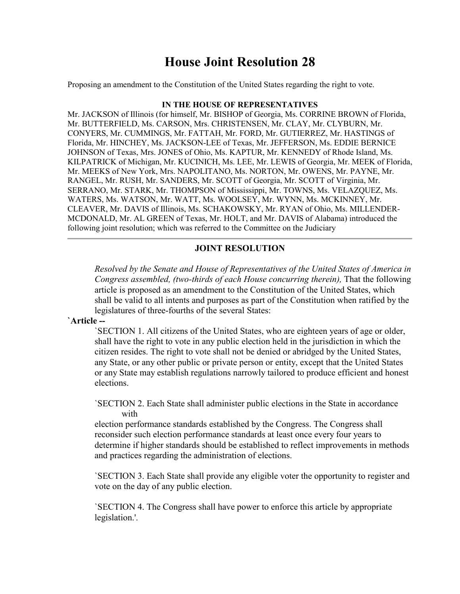## House Joint Resolution 28

Proposing an amendment to the Constitution of the United States regarding the right to vote.

#### IN THE HOUSE OF REPRESENTATIVES

Mr. JACKSON of Illinois (for himself, Mr. BISHOP of Georgia, Ms. CORRINE BROWN of Florida, Mr. BUTTERFIELD, Ms. CARSON, Mrs. CHRISTENSEN, Mr. CLAY, Mr. CLYBURN, Mr. CONYERS, Mr. CUMMINGS, Mr. FATTAH, Mr. FORD, Mr. GUTIERREZ, Mr. HASTINGS of Florida, Mr. HINCHEY, Ms. JACKSON-LEE of Texas, Mr. JEFFERSON, Ms. EDDIE BERNICE JOHNSON of Texas, Mrs. JONES of Ohio, Ms. KAPTUR, Mr. KENNEDY of Rhode Island, Ms. KILPATRICK of Michigan, Mr. KUCINICH, Ms. LEE, Mr. LEWIS of Georgia, Mr. MEEK of Florida, Mr. MEEKS of New York, Mrs. NAPOLITANO, Ms. NORTON, Mr. OWENS, Mr. PAYNE, Mr. RANGEL, Mr. RUSH, Mr. SANDERS, Mr. SCOTT of Georgia, Mr. SCOTT of Virginia, Mr. SERRANO, Mr. STARK, Mr. THOMPSON of Mississippi, Mr. TOWNS, Ms. VELAZQUEZ, Ms. WATERS, Ms. WATSON, Mr. WATT, Ms. WOOLSEY, Mr. WYNN, Ms. MCKINNEY, Mr. CLEAVER, Mr. DAVIS of Illinois, Ms. SCHAKOWSKY, Mr. RYAN of Ohio, Ms. MILLENDER-MCDONALD, Mr. AL GREEN of Texas, Mr. HOLT, and Mr. DAVIS of Alabama) introduced the following joint resolution; which was referred to the Committee on the Judiciary

#### JOINT RESOLUTION

Resolved by the Senate and House of Representatives of the United States of America in Congress assembled, (two-thirds of each House concurring therein), That the following article is proposed as an amendment to the Constitution of the United States, which shall be valid to all intents and purposes as part of the Constitution when ratified by the legislatures of three-fourths of the several States:

#### `Article --

`SECTION 1. All citizens of the United States, who are eighteen years of age or older, shall have the right to vote in any public election held in the jurisdiction in which the citizen resides. The right to vote shall not be denied or abridged by the United States, any State, or any other public or private person or entity, except that the United States or any State may establish regulations narrowly tailored to produce efficient and honest elections.

`SECTION 2. Each State shall administer public elections in the State in accordance with

election performance standards established by the Congress. The Congress shall reconsider such election performance standards at least once every four years to determine if higher standards should be established to reflect improvements in methods and practices regarding the administration of elections.

`SECTION 3. Each State shall provide any eligible voter the opportunity to register and vote on the day of any public election.

`SECTION 4. The Congress shall have power to enforce this article by appropriate legislation.'.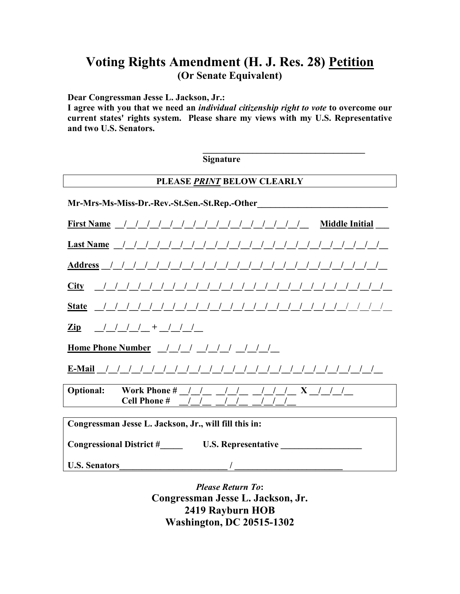### Voting Rights Amendment (H. J. Res. 28) Petition (Or Senate Equivalent)

Dear Congressman Jesse L. Jackson, Jr.:

I agree with you that we need an individual citizenship right to vote to overcome our current states' rights system. Please share my views with my U.S. Representative and two U.S. Senators.

Signature

#### PLEASE PRINT BELOW CLEARLY

\_\_\_\_\_\_\_\_\_\_\_\_\_\_\_\_\_\_\_\_\_\_\_\_\_\_\_\_\_\_\_\_\_\_\_\_

| Mr-Mrs-Ms-Miss-Dr.-Rev.-St.Sen.-St.Rep.-Other                                                                                                                                                                                                                                                                    |
|------------------------------------------------------------------------------------------------------------------------------------------------------------------------------------------------------------------------------------------------------------------------------------------------------------------|
| First Name $\frac{1}{2}$ $\frac{1}{2}$ $\frac{1}{2}$ $\frac{1}{2}$ $\frac{1}{2}$ $\frac{1}{2}$ $\frac{1}{2}$ $\frac{1}{2}$ $\frac{1}{2}$ $\frac{1}{2}$ $\frac{1}{2}$ $\frac{1}{2}$ $\frac{1}{2}$ $\frac{1}{2}$ $\frac{1}{2}$ $\frac{1}{2}$ $\frac{1}{2}$ $\frac{1}{2}$ $\frac{1}{2}$ $\frac{1}{2}$ $\frac{1}{2}$ |
|                                                                                                                                                                                                                                                                                                                  |
|                                                                                                                                                                                                                                                                                                                  |
|                                                                                                                                                                                                                                                                                                                  |
|                                                                                                                                                                                                                                                                                                                  |
| $\frac{Zip}{\sqrt{1 + (1 + (1 + i))}}$                                                                                                                                                                                                                                                                           |
| Home Phone Number                                                                                                                                                                                                                                                                                                |
|                                                                                                                                                                                                                                                                                                                  |
| <b>Optional:</b> Work Phone # $\left( \begin{array}{cc} 1 & 1 \\ 1 & 1 \end{array} \right)$ $\left( \begin{array}{cc} 1 & 1 \\ 1 & 1 \end{array} \right)$                                                                                                                                                        |
| Congressman Jesse L. Jackson, Jr., will fill this in:                                                                                                                                                                                                                                                            |
|                                                                                                                                                                                                                                                                                                                  |
| <b>Congressional District # U.S. Representative</b>                                                                                                                                                                                                                                                              |
| <b>U.S. Senators</b>                                                                                                                                                                                                                                                                                             |

Please Return To: Congressman Jesse L. Jackson, Jr. 2419 Rayburn HOB Washington, DC 20515-1302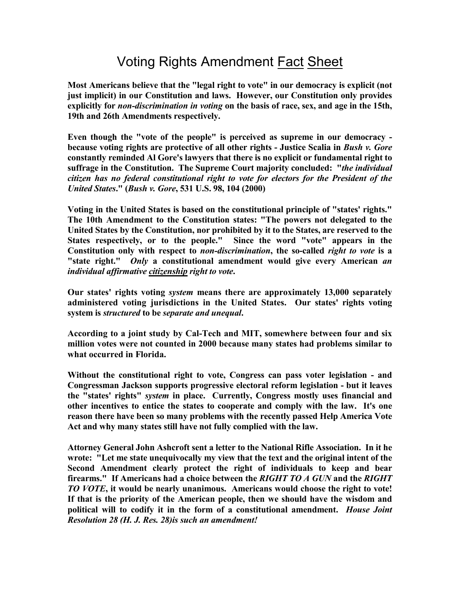# Voting Rights Amendment Fact Sheet

Most Americans believe that the "legal right to vote" in our democracy is explicit (not just implicit) in our Constitution and laws. However, our Constitution only provides explicitly for *non-discrimination in voting* on the basis of race, sex, and age in the 15th, 19th and 26th Amendments respectively.

Even though the "vote of the people" is perceived as supreme in our democracy because voting rights are protective of all other rights - Justice Scalia in *Bush v. Gore* constantly reminded Al Gore's lawyers that there is no explicit or fundamental right to suffrage in the Constitution. The Supreme Court majority concluded: "*the individual* citizen has no federal constitutional right to vote for electors for the President of the United States." (Bush v. Gore, 531 U.S. 98, 104 (2000)

Voting in the United States is based on the constitutional principle of "states' rights." The 10th Amendment to the Constitution states: "The powers not delegated to the United States by the Constitution, nor prohibited by it to the States, are reserved to the States respectively, or to the people." Since the word "vote" appears in the Constitution only with respect to non-discrimination, the so-called right to vote is a "state right." Only a constitutional amendment would give every American an individual affirmative citizenship right to vote.

Our states' rights voting system means there are approximately 13,000 separately administered voting jurisdictions in the United States. Our states' rights voting system is *structured* to be *separate and unequal*.

According to a joint study by Cal-Tech and MIT, somewhere between four and six million votes were not counted in 2000 because many states had problems similar to what occurred in Florida.

Without the constitutional right to vote, Congress can pass voter legislation - and Congressman Jackson supports progressive electoral reform legislation - but it leaves the "states' rights" system in place. Currently, Congress mostly uses financial and other incentives to entice the states to cooperate and comply with the law. It's one reason there have been so many problems with the recently passed Help America Vote Act and why many states still have not fully complied with the law.

Attorney General John Ashcroft sent a letter to the National Rifle Association. In it he wrote: "Let me state unequivocally my view that the text and the original intent of the Second Amendment clearly protect the right of individuals to keep and bear firearms." If Americans had a choice between the RIGHT TO A GUN and the RIGHT TO VOTE, it would be nearly unanimous. Americans would choose the right to vote! If that is the priority of the American people, then we should have the wisdom and political will to codify it in the form of a constitutional amendment. House Joint Resolution 28 (H. J. Res. 28)is such an amendment!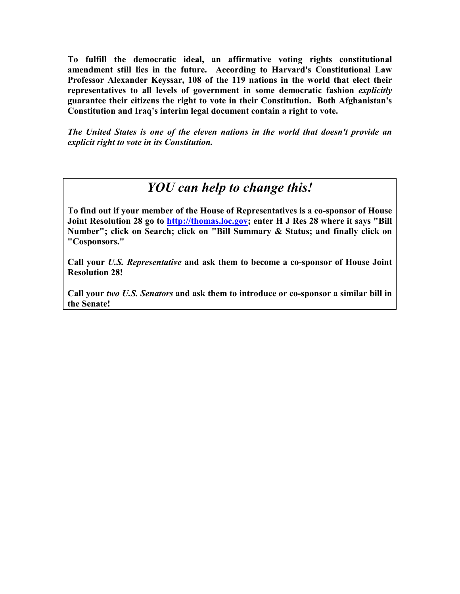To fulfill the democratic ideal, an affirmative voting rights constitutional amendment still lies in the future. According to Harvard's Constitutional Law Professor Alexander Keyssar, 108 of the 119 nations in the world that elect their representatives to all levels of government in some democratic fashion explicitly guarantee their citizens the right to vote in their Constitution. Both Afghanistan's Constitution and Iraq's interim legal document contain a right to vote.

The United States is one of the eleven nations in the world that doesn't provide an explicit right to vote in its Constitution.

## YOU can help to change this!

To find out if your member of the House of Representatives is a co-sponsor of House Joint Resolution 28 go to http://thomas.loc.gov; enter H J Res 28 where it says "Bill Number"; click on Search; click on "Bill Summary & Status; and finally click on "Cosponsors."

Call your U.S. Representative and ask them to become a co-sponsor of House Joint Resolution 28!

Call your two U.S. Senators and ask them to introduce or co-sponsor a similar bill in the Senate!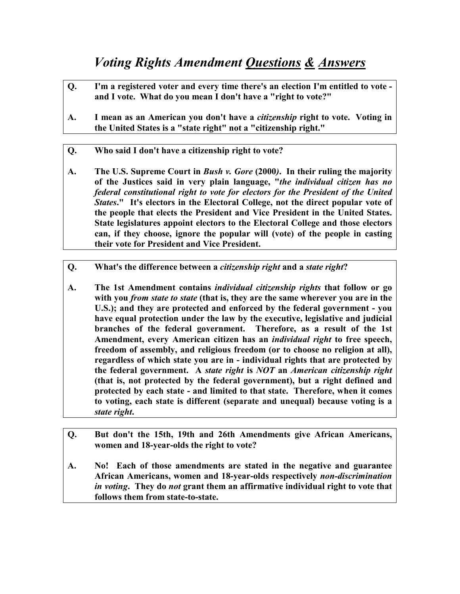## Voting Rights Amendment Questions & Answers

- Q. I'm a registered voter and every time there's an election I'm entitled to vote and I vote. What do you mean I don't have a "right to vote?"
- A. I mean as an American you don't have a citizenship right to vote. Voting in the United States is a "state right" not a "citizenship right."
- Q. Who said I don't have a citizenship right to vote?
- A. The U.S. Supreme Court in *Bush v. Gore* (2000). In their ruling the majority of the Justices said in very plain language, "the individual citizen has no federal constitutional right to vote for electors for the President of the United States." It's electors in the Electoral College, not the direct popular vote of the people that elects the President and Vice President in the United States. State legislatures appoint electors to the Electoral College and those electors can, if they choose, ignore the popular will (vote) of the people in casting their vote for President and Vice President.
- Q. What's the difference between a *citizenship right* and a *state right*?
- A. The 1st Amendment contains *individual citizenship rights* that follow or go with you *from state to state* (that is, they are the same wherever you are in the U.S.); and they are protected and enforced by the federal government - you have equal protection under the law by the executive, legislative and judicial branches of the federal government. Therefore, as a result of the 1st Amendment, every American citizen has an individual right to free speech, freedom of assembly, and religious freedom (or to choose no religion at all), regardless of which state you are in - individual rights that are protected by the federal government. A state right is NOT an American citizenship right (that is, not protected by the federal government), but a right defined and protected by each state - and limited to that state. Therefore, when it comes to voting, each state is different (separate and unequal) because voting is a state right.
- Q. But don't the 15th, 19th and 26th Amendments give African Americans, women and 18-year-olds the right to vote?
- A. No! Each of those amendments are stated in the negative and guarantee African Americans, women and 18-year-olds respectively non-discrimination in voting. They do not grant them an affirmative individual right to vote that follows them from state-to-state.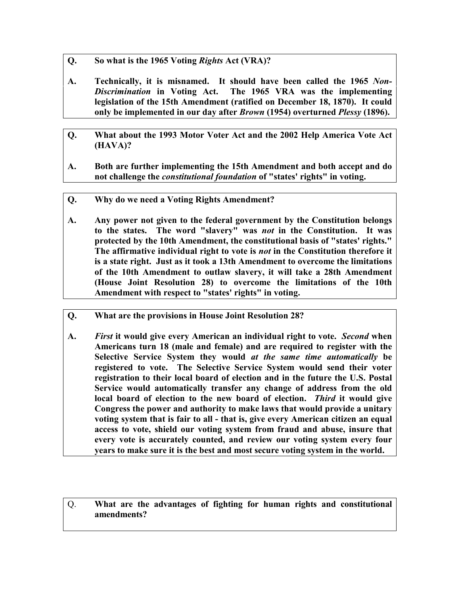- Q. So what is the 1965 Voting Rights Act (VRA)?
- A. Technically, it is misnamed. It should have been called the 1965 Non-Discrimination in Voting Act. The 1965 VRA was the implementing legislation of the 15th Amendment (ratified on December 18, 1870). It could only be implemented in our day after *Brown* (1954) overturned *Plessy* (1896).
- Q. What about the 1993 Motor Voter Act and the 2002 Help America Vote Act (HAVA)?
- A. Both are further implementing the 15th Amendment and both accept and do not challenge the *constitutional foundation* of "states' rights" in voting.
- Q. Why do we need a Voting Rights Amendment?
- A. Any power not given to the federal government by the Constitution belongs to the states. The word "slavery" was *not* in the Constitution. It was protected by the 10th Amendment, the constitutional basis of "states' rights." The affirmative individual right to vote is not in the Constitution therefore it is a state right. Just as it took a 13th Amendment to overcome the limitations of the 10th Amendment to outlaw slavery, it will take a 28th Amendment (House Joint Resolution 28) to overcome the limitations of the 10th Amendment with respect to "states' rights" in voting.
- Q. What are the provisions in House Joint Resolution 28?
- A. First it would give every American an individual right to vote. Second when Americans turn 18 (male and female) and are required to register with the Selective Service System they would at the same time automatically be registered to vote. The Selective Service System would send their voter registration to their local board of election and in the future the U.S. Postal Service would automatically transfer any change of address from the old local board of election to the new board of election. Third it would give Congress the power and authority to make laws that would provide a unitary voting system that is fair to all - that is, give every American citizen an equal access to vote, shield our voting system from fraud and abuse, insure that every vote is accurately counted, and review our voting system every four years to make sure it is the best and most secure voting system in the world.

Q. What are the advantages of fighting for human rights and constitutional amendments?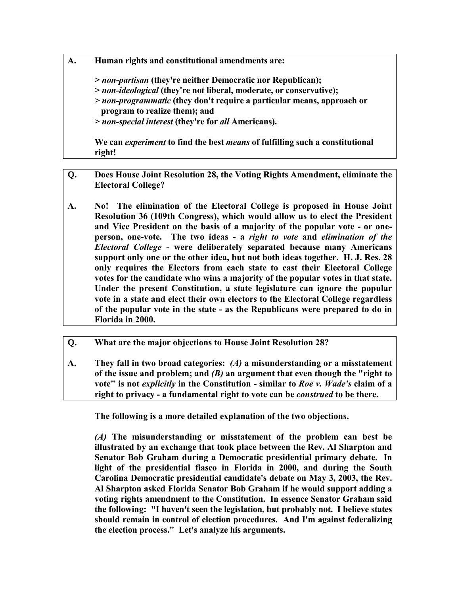A. Human rights and constitutional amendments are:

> non-partisan (they're neither Democratic nor Republican);

- > non-ideological (they're not liberal, moderate, or conservative);
- > non-programmatic (they don't require a particular means, approach or program to realize them); and

> non-special interest (they're for all Americans).

We can *experiment* to find the best *means* of fulfilling such a constitutional right!

- Q. Does House Joint Resolution 28, the Voting Rights Amendment, eliminate the Electoral College?
- A. No! The elimination of the Electoral College is proposed in House Joint Resolution 36 (109th Congress), which would allow us to elect the President and Vice President on the basis of a majority of the popular vote - or oneperson, one-vote. The two ideas - a right to vote and elimination of the Electoral College - were deliberately separated because many Americans support only one or the other idea, but not both ideas together. H. J. Res. 28 only requires the Electors from each state to cast their Electoral College votes for the candidate who wins a majority of the popular votes in that state. Under the present Constitution, a state legislature can ignore the popular vote in a state and elect their own electors to the Electoral College regardless of the popular vote in the state - as the Republicans were prepared to do in Florida in 2000.
- Q. What are the major objections to House Joint Resolution 28?
- A. They fall in two broad categories: (A) a misunderstanding or a misstatement of the issue and problem; and  $(B)$  an argument that even though the "right to" vote" is not explicitly in the Constitution - similar to Roe v. Wade's claim of a right to privacy - a fundamental right to vote can be *construed* to be there.

The following is a more detailed explanation of the two objections.

(A) The misunderstanding or misstatement of the problem can best be illustrated by an exchange that took place between the Rev. Al Sharpton and Senator Bob Graham during a Democratic presidential primary debate. In light of the presidential fiasco in Florida in 2000, and during the South Carolina Democratic presidential candidate's debate on May 3, 2003, the Rev. Al Sharpton asked Florida Senator Bob Graham if he would support adding a voting rights amendment to the Constitution. In essence Senator Graham said the following: "I haven't seen the legislation, but probably not. I believe states should remain in control of election procedures. And I'm against federalizing the election process." Let's analyze his arguments.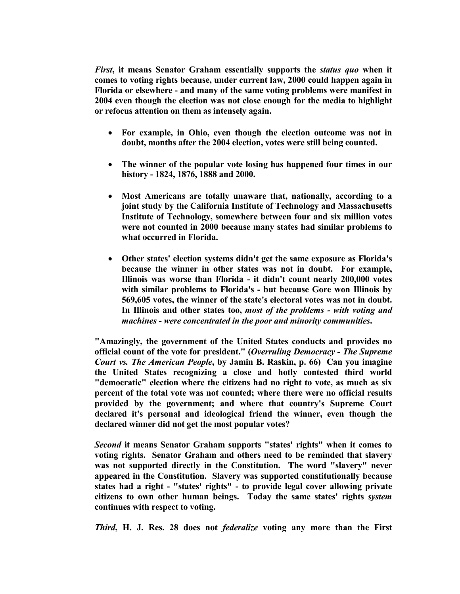First, it means Senator Graham essentially supports the status quo when it comes to voting rights because, under current law, 2000 could happen again in Florida or elsewhere - and many of the same voting problems were manifest in 2004 even though the election was not close enough for the media to highlight or refocus attention on them as intensely again.

- For example, in Ohio, even though the election outcome was not in doubt, months after the 2004 election, votes were still being counted.
- The winner of the popular vote losing has happened four times in our history - 1824, 1876, 1888 and 2000.
- Most Americans are totally unaware that, nationally, according to a joint study by the California Institute of Technology and Massachusetts Institute of Technology, somewhere between four and six million votes were not counted in 2000 because many states had similar problems to what occurred in Florida.
- Other states' election systems didn't get the same exposure as Florida's because the winner in other states was not in doubt. For example, Illinois was worse than Florida - it didn't count nearly 200,000 votes with similar problems to Florida's - but because Gore won Illinois by 569,605 votes, the winner of the state's electoral votes was not in doubt. In Illinois and other states too, most of the problems - with voting and machines - were concentrated in the poor and minority communities.

"Amazingly, the government of the United States conducts and provides no official count of the vote for president." (Overruling Democracy - The Supreme Court vs. The American People, by Jamin B. Raskin, p. 66) Can you imagine the United States recognizing a close and hotly contested third world "democratic" election where the citizens had no right to vote, as much as six percent of the total vote was not counted; where there were no official results provided by the government; and where that country's Supreme Court declared it's personal and ideological friend the winner, even though the declared winner did not get the most popular votes?

Second it means Senator Graham supports "states' rights" when it comes to voting rights. Senator Graham and others need to be reminded that slavery was not supported directly in the Constitution. The word "slavery" never appeared in the Constitution. Slavery was supported constitutionally because states had a right - "states' rights" - to provide legal cover allowing private citizens to own other human beings. Today the same states' rights system continues with respect to voting.

Third, H. J. Res. 28 does not federalize voting any more than the First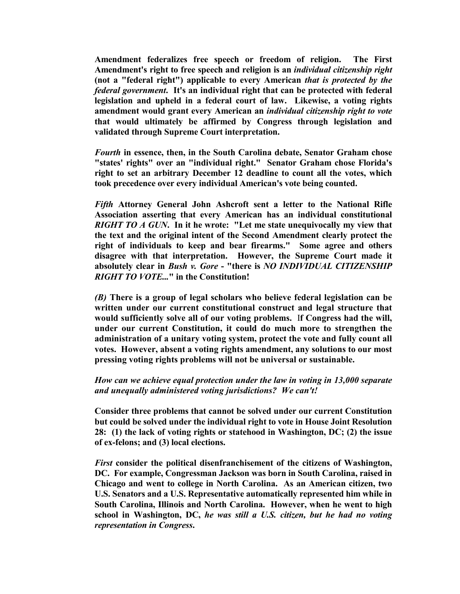Amendment federalizes free speech or freedom of religion. The First Amendment's right to free speech and religion is an individual citizenship right (not a "federal right") applicable to every American that is protected by the federal government. It's an individual right that can be protected with federal legislation and upheld in a federal court of law. Likewise, a voting rights amendment would grant every American an individual citizenship right to vote that would ultimately be affirmed by Congress through legislation and validated through Supreme Court interpretation.

Fourth in essence, then, in the South Carolina debate, Senator Graham chose "states' rights" over an "individual right." Senator Graham chose Florida's right to set an arbitrary December 12 deadline to count all the votes, which took precedence over every individual American's vote being counted.

Fifth Attorney General John Ashcroft sent a letter to the National Rifle Association asserting that every American has an individual constitutional RIGHT TO A GUN. In it he wrote: "Let me state unequivocally my view that the text and the original intent of the Second Amendment clearly protect the right of individuals to keep and bear firearms." Some agree and others disagree with that interpretation. However, the Supreme Court made it absolutely clear in Bush v. Gore - "there is NO INDIVIDUAL CITIZENSHIP RIGHT TO VOTE..." in the Constitution!

(B) There is a group of legal scholars who believe federal legislation can be written under our current constitutional construct and legal structure that would sufficiently solve all of our voting problems. If Congress had the will, under our current Constitution, it could do much more to strengthen the administration of a unitary voting system, protect the vote and fully count all votes. However, absent a voting rights amendment, any solutions to our most pressing voting rights problems will not be universal or sustainable.

How can we achieve equal protection under the law in voting in 13,000 separate and unequally administered voting jurisdictions? We can't!

Consider three problems that cannot be solved under our current Constitution but could be solved under the individual right to vote in House Joint Resolution 28: (1) the lack of voting rights or statehood in Washington, DC; (2) the issue of ex-felons; and (3) local elections.

First consider the political disenfranchisement of the citizens of Washington, DC. For example, Congressman Jackson was born in South Carolina, raised in Chicago and went to college in North Carolina. As an American citizen, two U.S. Senators and a U.S. Representative automatically represented him while in South Carolina, Illinois and North Carolina. However, when he went to high school in Washington, DC, he was still a U.S. citizen, but he had no voting representation in Congress.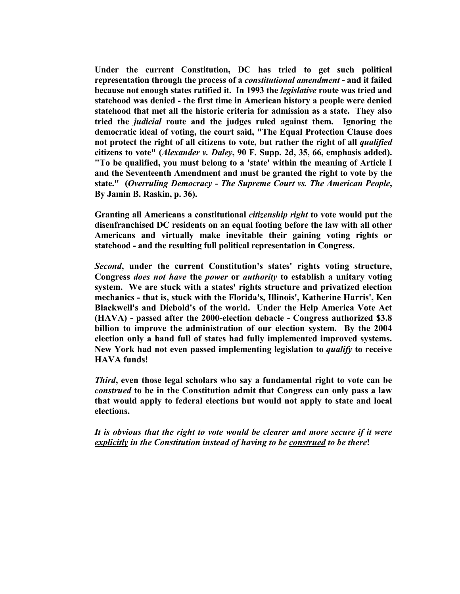Under the current Constitution, DC has tried to get such political representation through the process of a *constitutional amendment* - and it failed because not enough states ratified it. In 1993 the *legislative* route was tried and statehood was denied - the first time in American history a people were denied statehood that met all the historic criteria for admission as a state. They also tried the judicial route and the judges ruled against them. Ignoring the democratic ideal of voting, the court said, "The Equal Protection Clause does not protect the right of all citizens to vote, but rather the right of all *qualified* citizens to vote" (Alexander v. Daley, 90 F. Supp. 2d, 35, 66, emphasis added). "To be qualified, you must belong to a 'state' within the meaning of Article I and the Seventeenth Amendment and must be granted the right to vote by the state." (Overruling Democracy - The Supreme Court vs. The American People, By Jamin B. Raskin, p. 36).

Granting all Americans a constitutional citizenship right to vote would put the disenfranchised DC residents on an equal footing before the law with all other Americans and virtually make inevitable their gaining voting rights or statehood - and the resulting full political representation in Congress.

Second, under the current Constitution's states' rights voting structure, Congress does not have the power or authority to establish a unitary voting system. We are stuck with a states' rights structure and privatized election mechanics - that is, stuck with the Florida's, Illinois', Katherine Harris', Ken Blackwell's and Diebold's of the world. Under the Help America Vote Act (HAVA) - passed after the 2000-election debacle - Congress authorized \$3.8 billion to improve the administration of our election system. By the 2004 election only a hand full of states had fully implemented improved systems. New York had not even passed implementing legislation to *qualify* to receive HAVA funds!

Third, even those legal scholars who say a fundamental right to vote can be construed to be in the Constitution admit that Congress can only pass a law that would apply to federal elections but would not apply to state and local elections.

It is obvious that the right to vote would be clearer and more secure if it were explicitly in the Constitution instead of having to be construed to be there!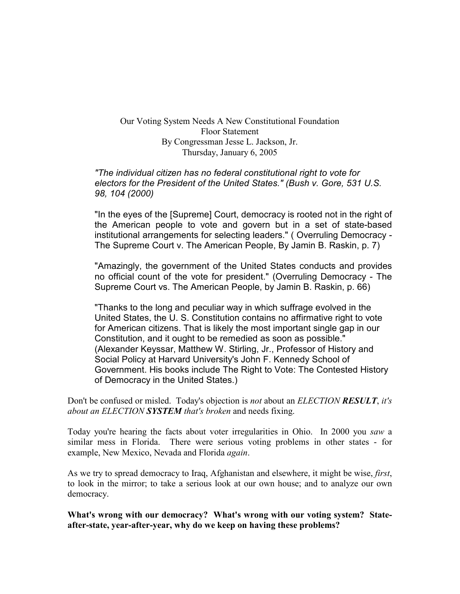#### Our Voting System Needs A New Constitutional Foundation Floor Statement By Congressman Jesse L. Jackson, Jr. Thursday, January 6, 2005

#### "The individual citizen has no federal constitutional right to vote for electors for the President of the United States." (Bush v. Gore, 531 U.S. 98, 104 (2000)

"In the eyes of the [Supreme] Court, democracy is rooted not in the right of the American people to vote and govern but in a set of state-based institutional arrangements for selecting leaders." ( Overruling Democracy - The Supreme Court v. The American People, By Jamin B. Raskin, p. 7)

"Amazingly, the government of the United States conducts and provides no official count of the vote for president." (Overruling Democracy - The Supreme Court vs. The American People, by Jamin B. Raskin, p. 66)

"Thanks to the long and peculiar way in which suffrage evolved in the United States, the U. S. Constitution contains no affirmative right to vote for American citizens. That is likely the most important single gap in our Constitution, and it ought to be remedied as soon as possible." (Alexander Keyssar, Matthew W. Stirling, Jr., Professor of History and Social Policy at Harvard University's John F. Kennedy School of Government. His books include The Right to Vote: The Contested History of Democracy in the United States.)

Don't be confused or misled. Today's objection is *not* about an *ELECTION RESULT*, *it's* about an ELECTION **SYSTEM** that's broken and needs fixing.

Today you're hearing the facts about voter irregularities in Ohio. In 2000 you saw a similar mess in Florida. There were serious voting problems in other states - for example, New Mexico, Nevada and Florida again.

As we try to spread democracy to Iraq, Afghanistan and elsewhere, it might be wise, *first*, to look in the mirror; to take a serious look at our own house; and to analyze our own democracy.

What's wrong with our democracy? What's wrong with our voting system? Stateafter-state, year-after-year, why do we keep on having these problems?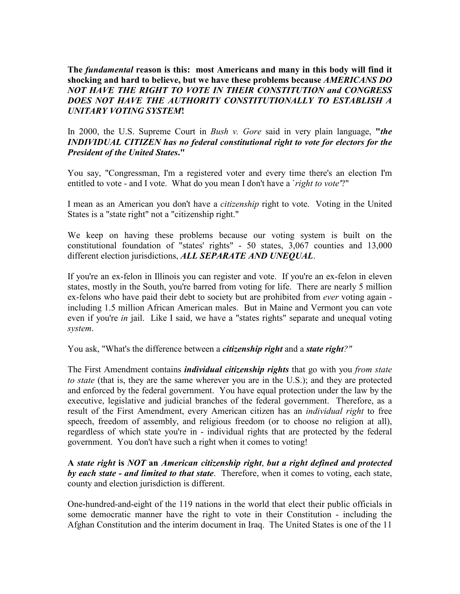The *fundamental* reason is this: most Americans and many in this body will find it shocking and hard to believe, but we have these problems because *AMERICANS DO* NOT HAVE THE RIGHT TO VOTE IN THEIR CONSTITUTION and CONGRESS DOES NOT HAVE THE AUTHORITY CONSTITUTIONALLY TO ESTABLISH A UNITARY VOTING SYSTEM!

In 2000, the U.S. Supreme Court in *Bush v. Gore* said in very plain language, "*the* INDIVIDUAL CITIZEN has no federal constitutional right to vote for electors for the President of the United States."

You say, "Congressman, I'm a registered voter and every time there's an election I'm entitled to vote - and I vote. What do you mean I don't have a *`right to vote'*?"

I mean as an American you don't have a *citizenship* right to vote. Voting in the United States is a "state right" not a "citizenship right."

We keep on having these problems because our voting system is built on the constitutional foundation of "states' rights" - 50 states, 3,067 counties and 13,000 different election jurisdictions, ALL SEPARATE AND UNEQUAL.

If you're an ex-felon in Illinois you can register and vote. If you're an ex-felon in eleven states, mostly in the South, you're barred from voting for life. There are nearly 5 million ex-felons who have paid their debt to society but are prohibited from *ever* voting again including 1.5 million African American males. But in Maine and Vermont you can vote even if you're *in* jail. Like I said, we have a "states rights" separate and unequal voting system.

You ask, "What's the difference between a *citizenship right* and a *state right?"* 

The First Amendment contains *individual citizenship rights* that go with you *from state* to state (that is, they are the same wherever you are in the U.S.); and they are protected and enforced by the federal government. You have equal protection under the law by the executive, legislative and judicial branches of the federal government. Therefore, as a result of the First Amendment, every American citizen has an individual right to free speech, freedom of assembly, and religious freedom (or to choose no religion at all), regardless of which state you're in - individual rights that are protected by the federal government. You don't have such a right when it comes to voting!

A state right is NOT an American citizenship right, but a right defined and protected by each state - and limited to that state. Therefore, when it comes to voting, each state, county and election jurisdiction is different.

One-hundred-and-eight of the 119 nations in the world that elect their public officials in some democratic manner have the right to vote in their Constitution - including the Afghan Constitution and the interim document in Iraq. The United States is one of the 11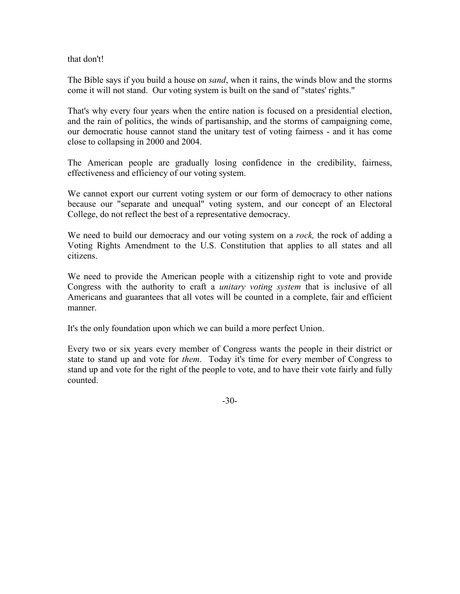that don't!

The Bible says if you build a house on *sand*, when it rains, the winds blow and the storms come it will not stand. Our voting system is built on the sand of "states' rights."

That's why every four years when the entire nation is focused on a presidential election, and the rain of politics, the winds of partisanship, and the storms of campaigning come, our democratic house cannot stand the unitary test of voting fairness - and it has come close to collapsing in 2000 and 2004.

The American people are gradually losing confidence in the credibility, fairness, effectiveness and efficiency of our voting system.

We cannot export our current voting system or our form of democracy to other nations because our "separate and unequal" voting system, and our concept of an Electoral College, do not reflect the best of a representative democracy.

We need to build our democracy and our voting system on a *rock*, the rock of adding a Voting Rights Amendment to the U.S. Constitution that applies to all states and all citizens.

We need to provide the American people with a citizenship right to vote and provide Congress with the authority to craft a unitary voting system that is inclusive of all Americans and guarantees that all votes will be counted in a complete, fair and efficient manner.

It's the only foundation upon which we can build a more perfect Union.

Every two or six years every member of Congress wants the people in their district or state to stand up and vote for *them*. Today it's time for every member of Congress to stand up and vote for the right of the people to vote, and to have their vote fairly and fully counted.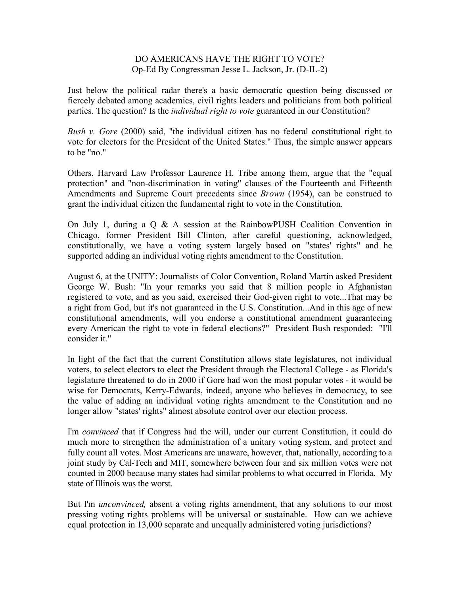#### DO AMERICANS HAVE THE RIGHT TO VOTE? Op-Ed By Congressman Jesse L. Jackson, Jr. (D-IL-2)

Just below the political radar there's a basic democratic question being discussed or fiercely debated among academics, civil rights leaders and politicians from both political parties. The question? Is the *individual right to vote* guaranteed in our Constitution?

Bush v. Gore (2000) said, "the individual citizen has no federal constitutional right to vote for electors for the President of the United States." Thus, the simple answer appears to be "no."

Others, Harvard Law Professor Laurence H. Tribe among them, argue that the "equal protection" and "non-discrimination in voting" clauses of the Fourteenth and Fifteenth Amendments and Supreme Court precedents since Brown (1954), can be construed to grant the individual citizen the fundamental right to vote in the Constitution.

On July 1, during a Q & A session at the RainbowPUSH Coalition Convention in Chicago, former President Bill Clinton, after careful questioning, acknowledged, constitutionally, we have a voting system largely based on "states' rights" and he supported adding an individual voting rights amendment to the Constitution.

August 6, at the UNITY: Journalists of Color Convention, Roland Martin asked President George W. Bush: "In your remarks you said that 8 million people in Afghanistan registered to vote, and as you said, exercised their God-given right to vote...That may be a right from God, but it's not guaranteed in the U.S. Constitution...And in this age of new constitutional amendments, will you endorse a constitutional amendment guaranteeing every American the right to vote in federal elections?" President Bush responded: "I'll consider it."

In light of the fact that the current Constitution allows state legislatures, not individual voters, to select electors to elect the President through the Electoral College - as Florida's legislature threatened to do in 2000 if Gore had won the most popular votes - it would be wise for Democrats, Kerry-Edwards, indeed, anyone who believes in democracy, to see the value of adding an individual voting rights amendment to the Constitution and no longer allow "states' rights" almost absolute control over our election process.

I'm convinced that if Congress had the will, under our current Constitution, it could do much more to strengthen the administration of a unitary voting system, and protect and fully count all votes. Most Americans are unaware, however, that, nationally, according to a joint study by Cal-Tech and MIT, somewhere between four and six million votes were not counted in 2000 because many states had similar problems to what occurred in Florida. My state of Illinois was the worst.

But I'm *unconvinced*, absent a voting rights amendment, that any solutions to our most pressing voting rights problems will be universal or sustainable. How can we achieve equal protection in 13,000 separate and unequally administered voting jurisdictions?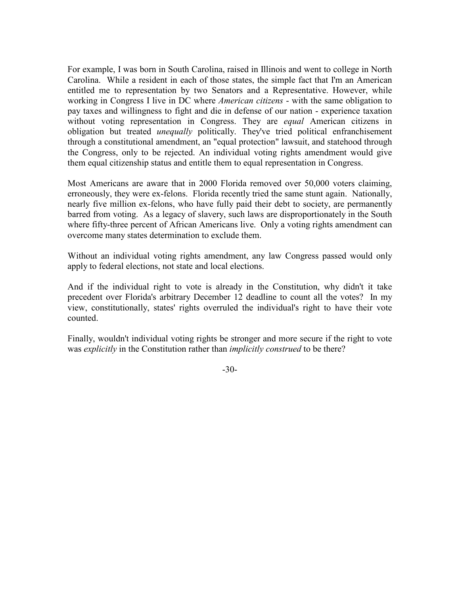For example, I was born in South Carolina, raised in Illinois and went to college in North Carolina. While a resident in each of those states, the simple fact that I'm an American entitled me to representation by two Senators and a Representative. However, while working in Congress I live in DC where *American citizens* - with the same obligation to pay taxes and willingness to fight and die in defense of our nation - experience taxation without voting representation in Congress. They are *equal* American citizens in obligation but treated *unequally* politically. They've tried political enfranchisement through a constitutional amendment, an "equal protection" lawsuit, and statehood through the Congress, only to be rejected. An individual voting rights amendment would give them equal citizenship status and entitle them to equal representation in Congress.

Most Americans are aware that in 2000 Florida removed over 50,000 voters claiming, erroneously, they were ex-felons. Florida recently tried the same stunt again. Nationally, nearly five million ex-felons, who have fully paid their debt to society, are permanently barred from voting. As a legacy of slavery, such laws are disproportionately in the South where fifty-three percent of African Americans live. Only a voting rights amendment can overcome many states determination to exclude them.

Without an individual voting rights amendment, any law Congress passed would only apply to federal elections, not state and local elections.

And if the individual right to vote is already in the Constitution, why didn't it take precedent over Florida's arbitrary December 12 deadline to count all the votes? In my view, constitutionally, states' rights overruled the individual's right to have their vote counted.

Finally, wouldn't individual voting rights be stronger and more secure if the right to vote was explicitly in the Constitution rather than *implicitly construed* to be there?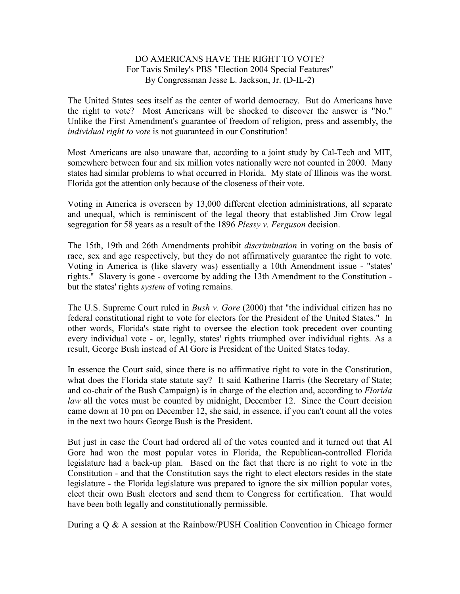#### DO AMERICANS HAVE THE RIGHT TO VOTE? For Tavis Smiley's PBS "Election 2004 Special Features" By Congressman Jesse L. Jackson, Jr. (D-IL-2)

The United States sees itself as the center of world democracy. But do Americans have the right to vote? Most Americans will be shocked to discover the answer is "No." Unlike the First Amendment's guarantee of freedom of religion, press and assembly, the individual right to vote is not guaranteed in our Constitution!

Most Americans are also unaware that, according to a joint study by Cal-Tech and MIT, somewhere between four and six million votes nationally were not counted in 2000. Many states had similar problems to what occurred in Florida. My state of Illinois was the worst. Florida got the attention only because of the closeness of their vote.

Voting in America is overseen by 13,000 different election administrations, all separate and unequal, which is reminiscent of the legal theory that established Jim Crow legal segregation for 58 years as a result of the 1896 Plessy v. Ferguson decision.

The 15th, 19th and 26th Amendments prohibit discrimination in voting on the basis of race, sex and age respectively, but they do not affirmatively guarantee the right to vote. Voting in America is (like slavery was) essentially a 10th Amendment issue - "states' rights." Slavery is gone - overcome by adding the 13th Amendment to the Constitution but the states' rights system of voting remains.

The U.S. Supreme Court ruled in Bush v. Gore (2000) that "the individual citizen has no federal constitutional right to vote for electors for the President of the United States." In other words, Florida's state right to oversee the election took precedent over counting every individual vote - or, legally, states' rights triumphed over individual rights. As a result, George Bush instead of Al Gore is President of the United States today.

In essence the Court said, since there is no affirmative right to vote in the Constitution, what does the Florida state statute say? It said Katherine Harris (the Secretary of State; and co-chair of the Bush Campaign) is in charge of the election and, according to Florida law all the votes must be counted by midnight, December 12. Since the Court decision came down at 10 pm on December 12, she said, in essence, if you can't count all the votes in the next two hours George Bush is the President.

But just in case the Court had ordered all of the votes counted and it turned out that Al Gore had won the most popular votes in Florida, the Republican-controlled Florida legislature had a back-up plan. Based on the fact that there is no right to vote in the Constitution - and that the Constitution says the right to elect electors resides in the state legislature - the Florida legislature was prepared to ignore the six million popular votes, elect their own Bush electors and send them to Congress for certification. That would have been both legally and constitutionally permissible.

During a  $\alpha$  & A session at the Rainbow/PUSH Coalition Convention in Chicago former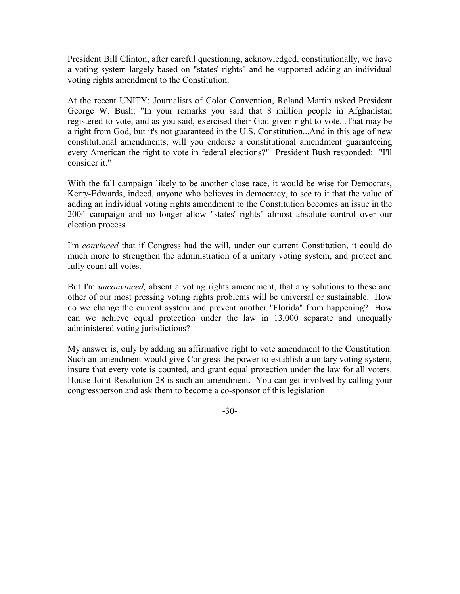President Bill Clinton, after careful questioning, acknowledged, constitutionally, we have a voting system largely based on "states' rights" and he supported adding an individual voting rights amendment to the Constitution.

At the recent UNITY: Journalists of Color Convention, Roland Martin asked President George W. Bush: "In your remarks you said that 8 million people in Afghanistan registered to vote, and as you said, exercised their God-given right to vote...That may be a right from God, but it's not guaranteed in the U.S. Constitution...And in this age of new constitutional amendments, will you endorse a constitutional amendment guaranteeing every American the right to vote in federal elections?" President Bush responded: "I'll consider it."

With the fall campaign likely to be another close race, it would be wise for Democrats, Kerry-Edwards, indeed, anyone who believes in democracy, to see to it that the value of adding an individual voting rights amendment to the Constitution becomes an issue in the 2004 campaign and no longer allow "states' rights" almost absolute control over our election process.

I'm convinced that if Congress had the will, under our current Constitution, it could do much more to strengthen the administration of a unitary voting system, and protect and fully count all votes.

But I'm *unconvinced*, absent a voting rights amendment, that any solutions to these and other of our most pressing voting rights problems will be universal or sustainable. How do we change the current system and prevent another "Florida" from happening? How can we achieve equal protection under the law in 13,000 separate and unequally administered voting jurisdictions?

My answer is, only by adding an affirmative right to vote amendment to the Constitution. Such an amendment would give Congress the power to establish a unitary voting system, insure that every vote is counted, and grant equal protection under the law for all voters. House Joint Resolution 28 is such an amendment. You can get involved by calling your congressperson and ask them to become a co-sponsor of this legislation.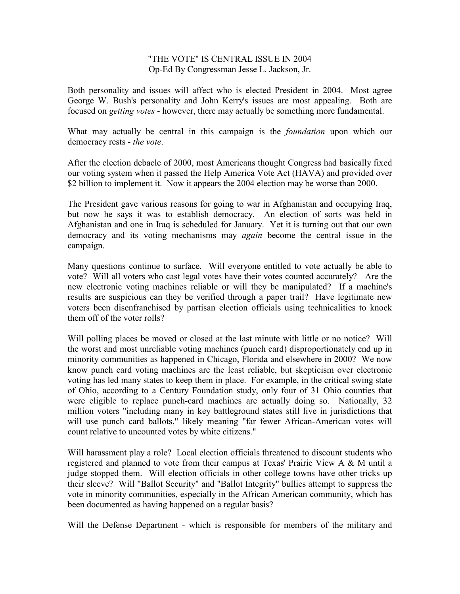#### "THE VOTE" IS CENTRAL ISSUE IN 2004 Op-Ed By Congressman Jesse L. Jackson, Jr.

Both personality and issues will affect who is elected President in 2004. Most agree George W. Bush's personality and John Kerry's issues are most appealing. Both are focused on getting votes - however, there may actually be something more fundamental.

What may actually be central in this campaign is the *foundation* upon which our democracy rests - the vote.

After the election debacle of 2000, most Americans thought Congress had basically fixed our voting system when it passed the Help America Vote Act (HAVA) and provided over \$2 billion to implement it. Now it appears the 2004 election may be worse than 2000.

The President gave various reasons for going to war in Afghanistan and occupying Iraq, but now he says it was to establish democracy. An election of sorts was held in Afghanistan and one in Iraq is scheduled for January. Yet it is turning out that our own democracy and its voting mechanisms may *again* become the central issue in the campaign.

Many questions continue to surface. Will everyone entitled to vote actually be able to vote? Will all voters who cast legal votes have their votes counted accurately? Are the new electronic voting machines reliable or will they be manipulated? If a machine's results are suspicious can they be verified through a paper trail? Have legitimate new voters been disenfranchised by partisan election officials using technicalities to knock them off of the voter rolls?

Will polling places be moved or closed at the last minute with little or no notice? Will the worst and most unreliable voting machines (punch card) disproportionately end up in minority communities as happened in Chicago, Florida and elsewhere in 2000? We now know punch card voting machines are the least reliable, but skepticism over electronic voting has led many states to keep them in place. For example, in the critical swing state of Ohio, according to a Century Foundation study, only four of 31 Ohio counties that were eligible to replace punch-card machines are actually doing so. Nationally, 32 million voters "including many in key battleground states still live in jurisdictions that will use punch card ballots," likely meaning "far fewer African-American votes will count relative to uncounted votes by white citizens."

Will harassment play a role? Local election officials threatened to discount students who registered and planned to vote from their campus at Texas' Prairie View A & M until a judge stopped them. Will election officials in other college towns have other tricks up their sleeve? Will "Ballot Security" and "Ballot Integrity" bullies attempt to suppress the vote in minority communities, especially in the African American community, which has been documented as having happened on a regular basis?

Will the Defense Department - which is responsible for members of the military and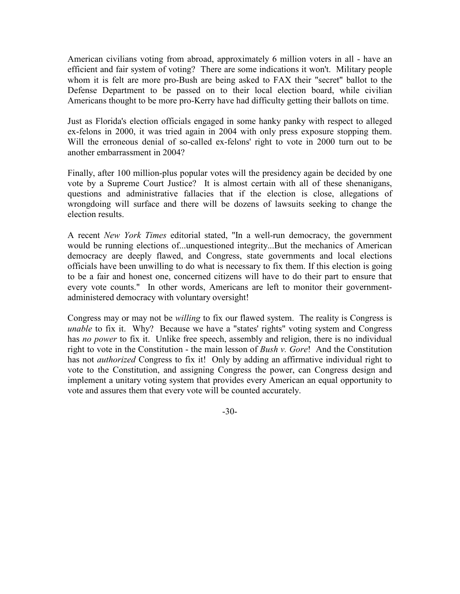American civilians voting from abroad, approximately 6 million voters in all - have an efficient and fair system of voting? There are some indications it won't. Military people whom it is felt are more pro-Bush are being asked to FAX their "secret" ballot to the Defense Department to be passed on to their local election board, while civilian Americans thought to be more pro-Kerry have had difficulty getting their ballots on time.

Just as Florida's election officials engaged in some hanky panky with respect to alleged ex-felons in 2000, it was tried again in 2004 with only press exposure stopping them. Will the erroneous denial of so-called ex-felons' right to vote in 2000 turn out to be another embarrassment in 2004?

Finally, after 100 million-plus popular votes will the presidency again be decided by one vote by a Supreme Court Justice? It is almost certain with all of these shenanigans, questions and administrative fallacies that if the election is close, allegations of wrongdoing will surface and there will be dozens of lawsuits seeking to change the election results.

A recent New York Times editorial stated, "In a well-run democracy, the government would be running elections of...unquestioned integrity...But the mechanics of American democracy are deeply flawed, and Congress, state governments and local elections officials have been unwilling to do what is necessary to fix them. If this election is going to be a fair and honest one, concerned citizens will have to do their part to ensure that every vote counts." In other words, Americans are left to monitor their governmentadministered democracy with voluntary oversight!

Congress may or may not be willing to fix our flawed system. The reality is Congress is unable to fix it. Why? Because we have a "states' rights" voting system and Congress has no power to fix it. Unlike free speech, assembly and religion, there is no individual right to vote in the Constitution - the main lesson of *Bush v. Gore!* And the Constitution has not *authorized* Congress to fix it! Only by adding an affirmative individual right to vote to the Constitution, and assigning Congress the power, can Congress design and implement a unitary voting system that provides every American an equal opportunity to vote and assures them that every vote will be counted accurately.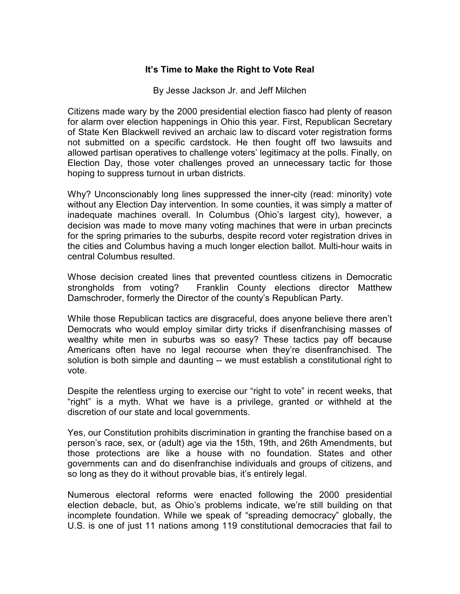#### It's Time to Make the Right to Vote Real

By Jesse Jackson Jr. and Jeff Milchen

Citizens made wary by the 2000 presidential election fiasco had plenty of reason for alarm over election happenings in Ohio this year. First, Republican Secretary of State Ken Blackwell revived an archaic law to discard voter registration forms not submitted on a specific cardstock. He then fought off two lawsuits and allowed partisan operatives to challenge voters' legitimacy at the polls. Finally, on Election Day, those voter challenges proved an unnecessary tactic for those hoping to suppress turnout in urban districts.

Why? Unconscionably long lines suppressed the inner-city (read: minority) vote without any Election Day intervention. In some counties, it was simply a matter of inadequate machines overall. In Columbus (Ohio's largest city), however, a decision was made to move many voting machines that were in urban precincts for the spring primaries to the suburbs, despite record voter registration drives in the cities and Columbus having a much longer election ballot. Multi-hour waits in central Columbus resulted.

Whose decision created lines that prevented countless citizens in Democratic strongholds from voting? Franklin County elections director Matthew Damschroder, formerly the Director of the county's Republican Party.

While those Republican tactics are disgraceful, does anyone believe there aren't Democrats who would employ similar dirty tricks if disenfranchising masses of wealthy white men in suburbs was so easy? These tactics pay off because Americans often have no legal recourse when they're disenfranchised. The solution is both simple and daunting -- we must establish a constitutional right to vote.

Despite the relentless urging to exercise our "right to vote" in recent weeks, that "right" is a myth. What we have is a privilege, granted or withheld at the discretion of our state and local governments.

Yes, our Constitution prohibits discrimination in granting the franchise based on a person's race, sex, or (adult) age via the 15th, 19th, and 26th Amendments, but those protections are like a house with no foundation. States and other governments can and do disenfranchise individuals and groups of citizens, and so long as they do it without provable bias, it's entirely legal.

Numerous electoral reforms were enacted following the 2000 presidential election debacle, but, as Ohio's problems indicate, we're still building on that incomplete foundation. While we speak of "spreading democracy" globally, the U.S. is one of just 11 nations among 119 constitutional democracies that fail to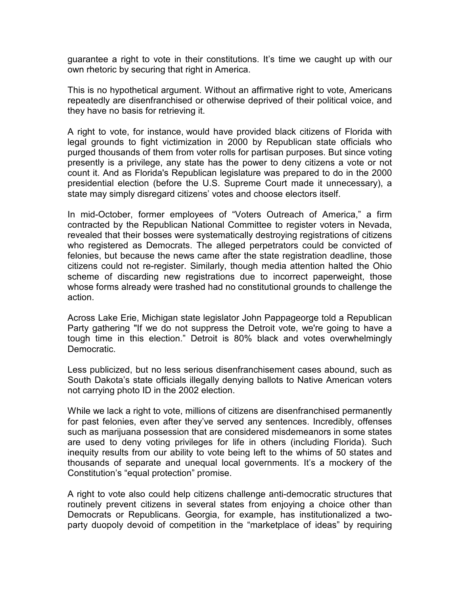guarantee a right to vote in their constitutions. It's time we caught up with our own rhetoric by securing that right in America.

This is no hypothetical argument. Without an affirmative right to vote, Americans repeatedly are disenfranchised or otherwise deprived of their political voice, and they have no basis for retrieving it.

A right to vote, for instance, would have provided black citizens of Florida with legal grounds to fight victimization in 2000 by Republican state officials who purged thousands of them from voter rolls for partisan purposes. But since voting presently is a privilege, any state has the power to deny citizens a vote or not count it. And as Florida's Republican legislature was prepared to do in the 2000 presidential election (before the U.S. Supreme Court made it unnecessary), a state may simply disregard citizens' votes and choose electors itself.

In mid-October, former employees of "Voters Outreach of America," a firm contracted by the Republican National Committee to register voters in Nevada, revealed that their bosses were systematically destroying registrations of citizens who registered as Democrats. The alleged perpetrators could be convicted of felonies, but because the news came after the state registration deadline, those citizens could not re-register. Similarly, though media attention halted the Ohio scheme of discarding new registrations due to incorrect paperweight, those whose forms already were trashed had no constitutional grounds to challenge the action.

Across Lake Erie, Michigan state legislator John Pappageorge told a Republican Party gathering "If we do not suppress the Detroit vote, we're going to have a tough time in this election." Detroit is 80% black and votes overwhelmingly Democratic.

Less publicized, but no less serious disenfranchisement cases abound, such as South Dakota's state officials illegally denying ballots to Native American voters not carrying photo ID in the 2002 election.

While we lack a right to vote, millions of citizens are disenfranchised permanently for past felonies, even after they've served any sentences. Incredibly, offenses such as marijuana possession that are considered misdemeanors in some states are used to deny voting privileges for life in others (including Florida). Such inequity results from our ability to vote being left to the whims of 50 states and thousands of separate and unequal local governments. It's a mockery of the Constitution's "equal protection" promise.

A right to vote also could help citizens challenge anti-democratic structures that routinely prevent citizens in several states from enjoying a choice other than Democrats or Republicans. Georgia, for example, has institutionalized a twoparty duopoly devoid of competition in the "marketplace of ideas" by requiring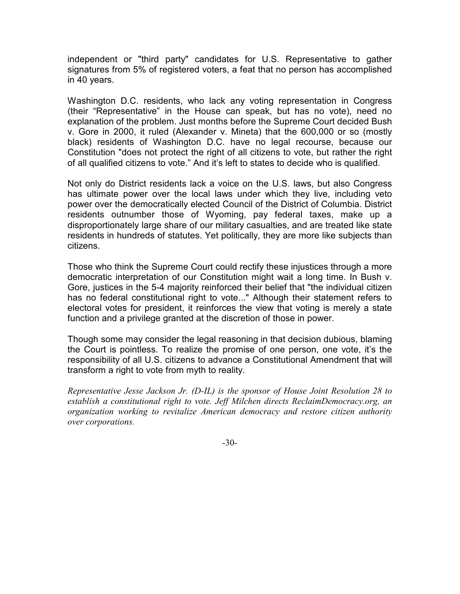independent or "third party" candidates for U.S. Representative to gather signatures from 5% of registered voters, a feat that no person has accomplished in 40 years.

Washington D.C. residents, who lack any voting representation in Congress (their "Representative" in the House can speak, but has no vote), need no explanation of the problem. Just months before the Supreme Court decided Bush v. Gore in 2000, it ruled (Alexander v. Mineta) that the 600,000 or so (mostly black) residents of Washington D.C. have no legal recourse, because our Constitution "does not protect the right of all citizens to vote, but rather the right of all qualified citizens to vote." And it's left to states to decide who is qualified.

Not only do District residents lack a voice on the U.S. laws, but also Congress has ultimate power over the local laws under which they live, including veto power over the democratically elected Council of the District of Columbia. District residents outnumber those of Wyoming, pay federal taxes, make up a disproportionately large share of our military casualties, and are treated like state residents in hundreds of statutes. Yet politically, they are more like subjects than citizens.

Those who think the Supreme Court could rectify these injustices through a more democratic interpretation of our Constitution might wait a long time. In Bush v. Gore, justices in the 5-4 majority reinforced their belief that "the individual citizen has no federal constitutional right to vote..." Although their statement refers to electoral votes for president, it reinforces the view that voting is merely a state function and a privilege granted at the discretion of those in power.

Though some may consider the legal reasoning in that decision dubious, blaming the Court is pointless. To realize the promise of one person, one vote, it's the responsibility of all U.S. citizens to advance a Constitutional Amendment that will transform a right to vote from myth to reality.

Representative Jesse Jackson Jr. (D-IL) is the sponsor of House Joint Resolution 28 to establish a constitutional right to vote. Jeff Milchen directs ReclaimDemocracy.org, an organization working to revitalize American democracy and restore citizen authority over corporations.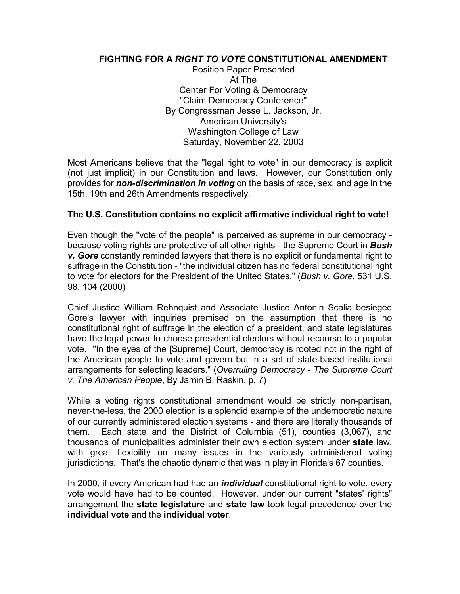#### FIGHTING FOR A RIGHT TO VOTE CONSTITUTIONAL AMENDMENT

 Position Paper Presented At The Center For Voting & Democracy "Claim Democracy Conference" By Congressman Jesse L. Jackson, Jr. American University's Washington College of Law Saturday, November 22, 2003

Most Americans believe that the "legal right to vote" in our democracy is explicit (not just implicit) in our Constitution and laws. However, our Constitution only provides for non-discrimination in voting on the basis of race, sex, and age in the 15th, 19th and 26th Amendments respectively.

#### The U.S. Constitution contains no explicit affirmative individual right to vote!

Even though the "vote of the people" is perceived as supreme in our democracy because voting rights are protective of all other rights - the Supreme Court in **Bush** v. Gore constantly reminded lawyers that there is no explicit or fundamental right to suffrage in the Constitution - "the individual citizen has no federal constitutional right to vote for electors for the President of the United States." (Bush v. Gore, 531 U.S. 98, 104 (2000)

Chief Justice William Rehnquist and Associate Justice Antonin Scalia besieged Gore's lawyer with inquiries premised on the assumption that there is no constitutional right of suffrage in the election of a president, and state legislatures have the legal power to choose presidential electors without recourse to a popular vote. "In the eyes of the [Supreme] Court, democracy is rooted not in the right of the American people to vote and govern but in a set of state-based institutional arrangements for selecting leaders." (Overruling Democracy - The Supreme Court v. The American People, By Jamin B. Raskin, p. 7)

While a voting rights constitutional amendment would be strictly non-partisan, never-the-less, the 2000 election is a splendid example of the undemocratic nature of our currently administered election systems - and there are literally thousands of them. Each state and the District of Columbia (51), counties (3,067), and thousands of municipalities administer their own election system under state law, with great flexibility on many issues in the variously administered voting jurisdictions. That's the chaotic dynamic that was in play in Florida's 67 counties.

In 2000, if every American had had an *individual* constitutional right to vote, every vote would have had to be counted. However, under our current "states' rights" arrangement the state legislature and state law took legal precedence over the individual vote and the individual voter.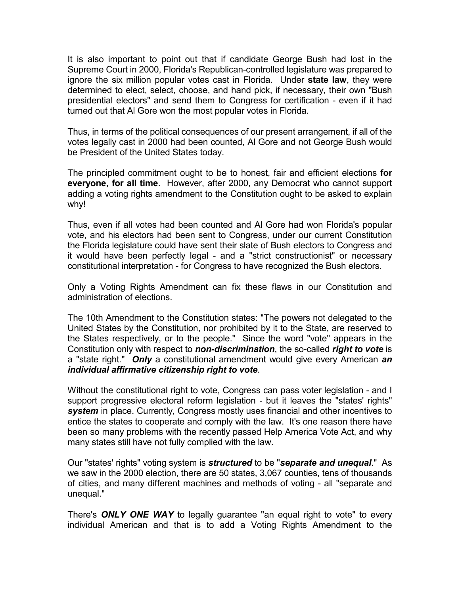It is also important to point out that if candidate George Bush had lost in the Supreme Court in 2000, Florida's Republican-controlled legislature was prepared to ignore the six million popular votes cast in Florida. Under state law, they were determined to elect, select, choose, and hand pick, if necessary, their own "Bush presidential electors" and send them to Congress for certification - even if it had turned out that Al Gore won the most popular votes in Florida.

Thus, in terms of the political consequences of our present arrangement, if all of the votes legally cast in 2000 had been counted, Al Gore and not George Bush would be President of the United States today.

The principled commitment ought to be to honest, fair and efficient elections for everyone, for all time. However, after 2000, any Democrat who cannot support adding a voting rights amendment to the Constitution ought to be asked to explain why!

Thus, even if all votes had been counted and Al Gore had won Florida's popular vote, and his electors had been sent to Congress, under our current Constitution the Florida legislature could have sent their slate of Bush electors to Congress and it would have been perfectly legal - and a "strict constructionist" or necessary constitutional interpretation - for Congress to have recognized the Bush electors.

Only a Voting Rights Amendment can fix these flaws in our Constitution and administration of elections.

The 10th Amendment to the Constitution states: "The powers not delegated to the United States by the Constitution, nor prohibited by it to the State, are reserved to the States respectively, or to the people." Since the word "vote" appears in the Constitution only with respect to non-discrimination, the so-called right to vote is a "state right." Only a constitutional amendment would give every American an individual affirmative citizenship right to vote.

Without the constitutional right to vote, Congress can pass voter legislation - and I support progressive electoral reform legislation - but it leaves the "states' rights" system in place. Currently, Congress mostly uses financial and other incentives to entice the states to cooperate and comply with the law. It's one reason there have been so many problems with the recently passed Help America Vote Act, and why many states still have not fully complied with the law.

Our "states' rights" voting system is *structured* to be "separate and unequal." As we saw in the 2000 election, there are 50 states, 3,067 counties, tens of thousands of cities, and many different machines and methods of voting - all "separate and unequal."

There's ONLY ONE WAY to legally guarantee "an equal right to vote" to every individual American and that is to add a Voting Rights Amendment to the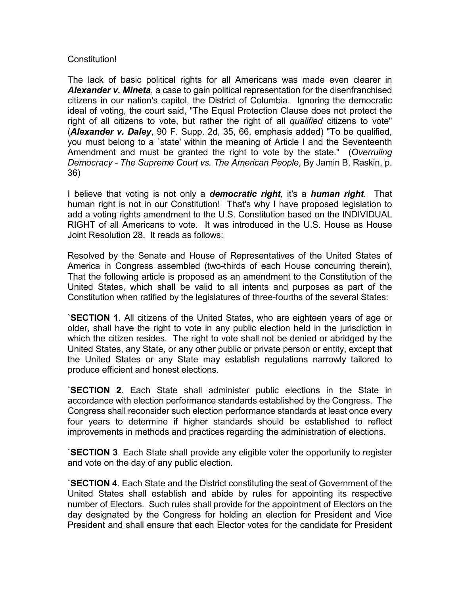#### Constitution!

The lack of basic political rights for all Americans was made even clearer in Alexander v. Mineta, a case to gain political representation for the disenfranchised citizens in our nation's capitol, the District of Columbia. Ignoring the democratic ideal of voting, the court said, "The Equal Protection Clause does not protect the right of all citizens to vote, but rather the right of all *qualified* citizens to vote" (Alexander v. Daley, 90 F. Supp. 2d, 35, 66, emphasis added) "To be qualified, you must belong to a `state' within the meaning of Article I and the Seventeenth Amendment and must be granted the right to vote by the state." (Overruling Democracy - The Supreme Court vs. The American People, By Jamin B. Raskin, p. 36)

I believe that voting is not only a **democratic right**, it's a **human right**. That human right is not in our Constitution! That's why I have proposed legislation to add a voting rights amendment to the U.S. Constitution based on the INDIVIDUAL RIGHT of all Americans to vote. It was introduced in the U.S. House as House Joint Resolution 28. It reads as follows:

Resolved by the Senate and House of Representatives of the United States of America in Congress assembled (two-thirds of each House concurring therein), That the following article is proposed as an amendment to the Constitution of the United States, which shall be valid to all intents and purposes as part of the Constitution when ratified by the legislatures of three-fourths of the several States:

`SECTION 1. All citizens of the United States, who are eighteen years of age or older, shall have the right to vote in any public election held in the jurisdiction in which the citizen resides. The right to vote shall not be denied or abridged by the United States, any State, or any other public or private person or entity, except that the United States or any State may establish regulations narrowly tailored to produce efficient and honest elections.

`SECTION 2. Each State shall administer public elections in the State in accordance with election performance standards established by the Congress. The Congress shall reconsider such election performance standards at least once every four years to determine if higher standards should be established to reflect improvements in methods and practices regarding the administration of elections.

`SECTION 3. Each State shall provide any eligible voter the opportunity to register and vote on the day of any public election.

`SECTION 4. Each State and the District constituting the seat of Government of the United States shall establish and abide by rules for appointing its respective number of Electors. Such rules shall provide for the appointment of Electors on the day designated by the Congress for holding an election for President and Vice President and shall ensure that each Elector votes for the candidate for President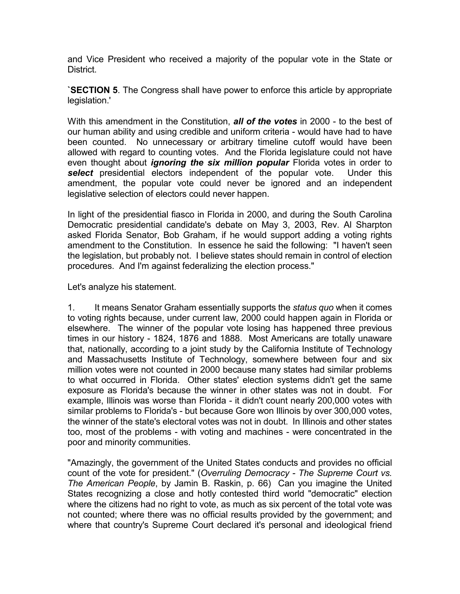and Vice President who received a majority of the popular vote in the State or District.

`SECTION 5. The Congress shall have power to enforce this article by appropriate legislation.'

With this amendment in the Constitution, all of the votes in 2000 - to the best of our human ability and using credible and uniform criteria - would have had to have been counted. No unnecessary or arbitrary timeline cutoff would have been allowed with regard to counting votes. And the Florida legislature could not have even thought about *ignoring the six million popular* Florida votes in order to select presidential electors independent of the popular vote. Under this amendment, the popular vote could never be ignored and an independent legislative selection of electors could never happen.

In light of the presidential fiasco in Florida in 2000, and during the South Carolina Democratic presidential candidate's debate on May 3, 2003, Rev. Al Sharpton asked Florida Senator, Bob Graham, if he would support adding a voting rights amendment to the Constitution. In essence he said the following: "I haven't seen the legislation, but probably not. I believe states should remain in control of election procedures. And I'm against federalizing the election process."

Let's analyze his statement.

1. It means Senator Graham essentially supports the *status quo* when it comes to voting rights because, under current law, 2000 could happen again in Florida or elsewhere. The winner of the popular vote losing has happened three previous times in our history - 1824, 1876 and 1888. Most Americans are totally unaware that, nationally, according to a joint study by the California Institute of Technology and Massachusetts Institute of Technology, somewhere between four and six million votes were not counted in 2000 because many states had similar problems to what occurred in Florida. Other states' election systems didn't get the same exposure as Florida's because the winner in other states was not in doubt. For example, Illinois was worse than Florida - it didn't count nearly 200,000 votes with similar problems to Florida's - but because Gore won Illinois by over 300,000 votes, the winner of the state's electoral votes was not in doubt. In Illinois and other states too, most of the problems - with voting and machines - were concentrated in the poor and minority communities.

"Amazingly, the government of the United States conducts and provides no official count of the vote for president." (Overruling Democracy - The Supreme Court vs. The American People, by Jamin B. Raskin, p. 66) Can you imagine the United States recognizing a close and hotly contested third world "democratic" election where the citizens had no right to vote, as much as six percent of the total vote was not counted; where there was no official results provided by the government; and where that country's Supreme Court declared it's personal and ideological friend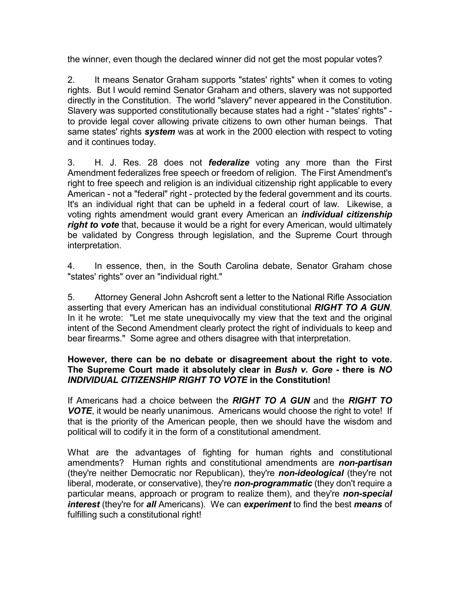the winner, even though the declared winner did not get the most popular votes?

2. It means Senator Graham supports "states' rights" when it comes to voting rights. But I would remind Senator Graham and others, slavery was not supported directly in the Constitution. The world "slavery" never appeared in the Constitution. Slavery was supported constitutionally because states had a right - "states' rights" to provide legal cover allowing private citizens to own other human beings. That same states' rights *system* was at work in the 2000 election with respect to voting and it continues today.

3. H. J. Res. 28 does not **federalize** voting any more than the First Amendment federalizes free speech or freedom of religion. The First Amendment's right to free speech and religion is an individual citizenship right applicable to every American - not a "federal" right - protected by the federal government and its courts. It's an individual right that can be upheld in a federal court of law. Likewise, a voting rights amendment would grant every American an *individual citizenship* right to vote that, because it would be a right for every American, would ultimately be validated by Congress through legislation, and the Supreme Court through interpretation.

4. In essence, then, in the South Carolina debate, Senator Graham chose "states' rights" over an "individual right."

5. Attorney General John Ashcroft sent a letter to the National Rifle Association asserting that every American has an individual constitutional RIGHT TO A GUN. In it he wrote: "Let me state unequivocally my view that the text and the original intent of the Second Amendment clearly protect the right of individuals to keep and bear firearms." Some agree and others disagree with that interpretation.

#### However, there can be no debate or disagreement about the right to vote. The Supreme Court made it absolutely clear in Bush v. Gore - there is NO INDIVIDUAL CITIZENSHIP RIGHT TO VOTE in the Constitution!

If Americans had a choice between the RIGHT TO A GUN and the RIGHT TO VOTE, it would be nearly unanimous. Americans would choose the right to vote! If that is the priority of the American people, then we should have the wisdom and political will to codify it in the form of a constitutional amendment.

What are the advantages of fighting for human rights and constitutional amendments? Human rights and constitutional amendments are non-partisan (they're neither Democratic nor Republican), they're non-ideological (they're not liberal, moderate, or conservative), they're non-programmatic (they don't require a particular means, approach or program to realize them), and they're non-special interest (they're for all Americans). We can experiment to find the best means of fulfilling such a constitutional right!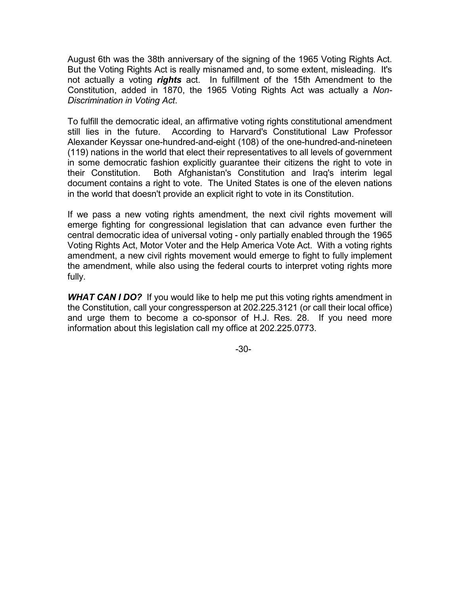August 6th was the 38th anniversary of the signing of the 1965 Voting Rights Act. But the Voting Rights Act is really misnamed and, to some extent, misleading. It's not actually a voting rights act. In fulfillment of the 15th Amendment to the Constitution, added in 1870, the 1965 Voting Rights Act was actually a Non-Discrimination in Voting Act.

To fulfill the democratic ideal, an affirmative voting rights constitutional amendment still lies in the future. According to Harvard's Constitutional Law Professor Alexander Keyssar one-hundred-and-eight (108) of the one-hundred-and-nineteen (119) nations in the world that elect their representatives to all levels of government in some democratic fashion explicitly guarantee their citizens the right to vote in their Constitution. Both Afghanistan's Constitution and Iraq's interim legal document contains a right to vote. The United States is one of the eleven nations in the world that doesn't provide an explicit right to vote in its Constitution.

If we pass a new voting rights amendment, the next civil rights movement will emerge fighting for congressional legislation that can advance even further the central democratic idea of universal voting - only partially enabled through the 1965 Voting Rights Act, Motor Voter and the Help America Vote Act. With a voting rights amendment, a new civil rights movement would emerge to fight to fully implement the amendment, while also using the federal courts to interpret voting rights more fully.

WHAT CAN I DO? If you would like to help me put this voting rights amendment in the Constitution, call your congressperson at 202.225.3121 (or call their local office) and urge them to become a co-sponsor of H.J. Res. 28. If you need more information about this legislation call my office at 202.225.0773.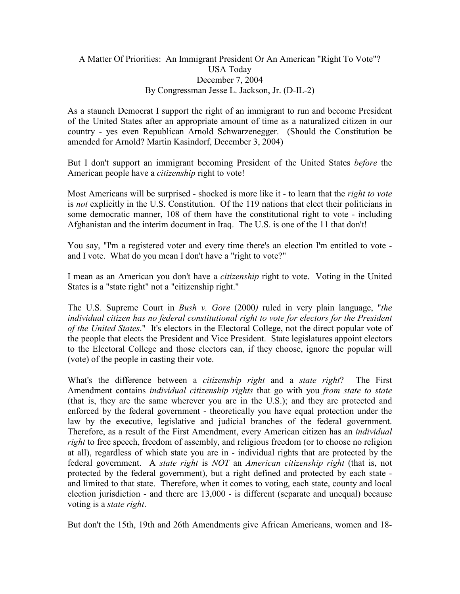#### A Matter Of Priorities: An Immigrant President Or An American "Right To Vote"? USA Today December 7, 2004 By Congressman Jesse L. Jackson, Jr. (D-IL-2)

As a staunch Democrat I support the right of an immigrant to run and become President of the United States after an appropriate amount of time as a naturalized citizen in our country - yes even Republican Arnold Schwarzenegger. (Should the Constitution be amended for Arnold? Martin Kasindorf, December 3, 2004)

But I don't support an immigrant becoming President of the United States *before* the American people have a *citizenship* right to vote!

Most Americans will be surprised - shocked is more like it - to learn that the *right to vote* is not explicitly in the U.S. Constitution. Of the 119 nations that elect their politicians in some democratic manner, 108 of them have the constitutional right to vote - including Afghanistan and the interim document in Iraq. The U.S. is one of the 11 that don't!

You say, "I'm a registered voter and every time there's an election I'm entitled to vote and I vote. What do you mean I don't have a "right to vote?"

I mean as an American you don't have a *citizenship* right to vote. Voting in the United States is a "state right" not a "citizenship right."

The U.S. Supreme Court in *Bush v. Gore* (2000) ruled in very plain language, "the individual citizen has no federal constitutional right to vote for electors for the President of the United States." It's electors in the Electoral College, not the direct popular vote of the people that elects the President and Vice President. State legislatures appoint electors to the Electoral College and those electors can, if they choose, ignore the popular will (vote) of the people in casting their vote.

What's the difference between a *citizenship right* and a *state right*? The First Amendment contains *individual citizenship rights* that go with you *from state to state* (that is, they are the same wherever you are in the U.S.); and they are protected and enforced by the federal government - theoretically you have equal protection under the law by the executive, legislative and judicial branches of the federal government. Therefore, as a result of the First Amendment, every American citizen has an *individual* right to free speech, freedom of assembly, and religious freedom (or to choose no religion at all), regardless of which state you are in - individual rights that are protected by the federal government. A state right is NOT an American citizenship right (that is, not protected by the federal government), but a right defined and protected by each state and limited to that state. Therefore, when it comes to voting, each state, county and local election jurisdiction - and there are 13,000 - is different (separate and unequal) because voting is a *state right*.

But don't the 15th, 19th and 26th Amendments give African Americans, women and 18-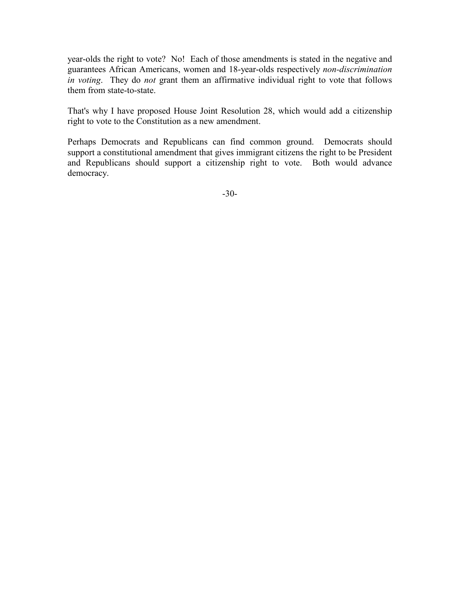year-olds the right to vote? No! Each of those amendments is stated in the negative and guarantees African Americans, women and 18-year-olds respectively non-discrimination in voting. They do not grant them an affirmative individual right to vote that follows them from state-to-state.

That's why I have proposed House Joint Resolution 28, which would add a citizenship right to vote to the Constitution as a new amendment.

Perhaps Democrats and Republicans can find common ground. Democrats should support a constitutional amendment that gives immigrant citizens the right to be President and Republicans should support a citizenship right to vote. Both would advance democracy.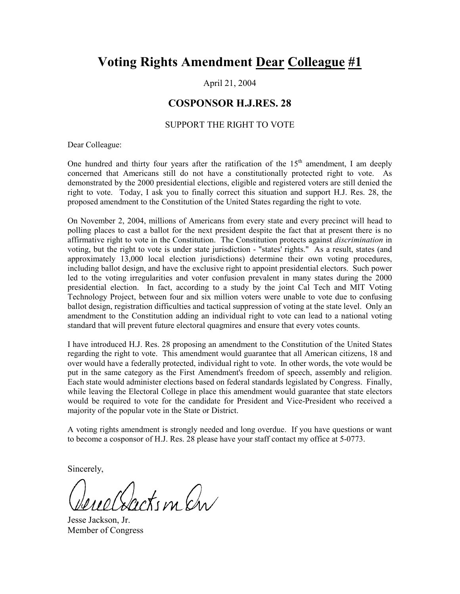## Voting Rights Amendment Dear Colleague #1

April 21, 2004

#### COSPONSOR H.J.RES. 28

#### SUPPORT THE RIGHT TO VOTE

Dear Colleague:

One hundred and thirty four years after the ratification of the  $15<sup>th</sup>$  amendment, I am deeply concerned that Americans still do not have a constitutionally protected right to vote. As demonstrated by the 2000 presidential elections, eligible and registered voters are still denied the right to vote. Today, I ask you to finally correct this situation and support H.J. Res. 28, the proposed amendment to the Constitution of the United States regarding the right to vote.

On November 2, 2004, millions of Americans from every state and every precinct will head to polling places to cast a ballot for the next president despite the fact that at present there is no affirmative right to vote in the Constitution. The Constitution protects against *discrimination* in voting, but the right to vote is under state jurisdiction - "states' rights." As a result, states (and approximately 13,000 local election jurisdictions) determine their own voting procedures, including ballot design, and have the exclusive right to appoint presidential electors. Such power led to the voting irregularities and voter confusion prevalent in many states during the 2000 presidential election. In fact, according to a study by the joint Cal Tech and MIT Voting Technology Project, between four and six million voters were unable to vote due to confusing ballot design, registration difficulties and tactical suppression of voting at the state level. Only an amendment to the Constitution adding an individual right to vote can lead to a national voting standard that will prevent future electoral quagmires and ensure that every votes counts.

I have introduced H.J. Res. 28 proposing an amendment to the Constitution of the United States regarding the right to vote. This amendment would guarantee that all American citizens, 18 and over would have a federally protected, individual right to vote. In other words, the vote would be put in the same category as the First Amendment's freedom of speech, assembly and religion. Each state would administer elections based on federal standards legislated by Congress. Finally, while leaving the Electoral College in place this amendment would guarantee that state electors would be required to vote for the candidate for President and Vice-President who received a majority of the popular vote in the State or District.

A voting rights amendment is strongly needed and long overdue. If you have questions or want to become a cosponsor of H.J. Res. 28 please have your staff contact my office at 5-0773.

Sincerely,

Neutru An

Jesse Jackson, Jr. Member of Congress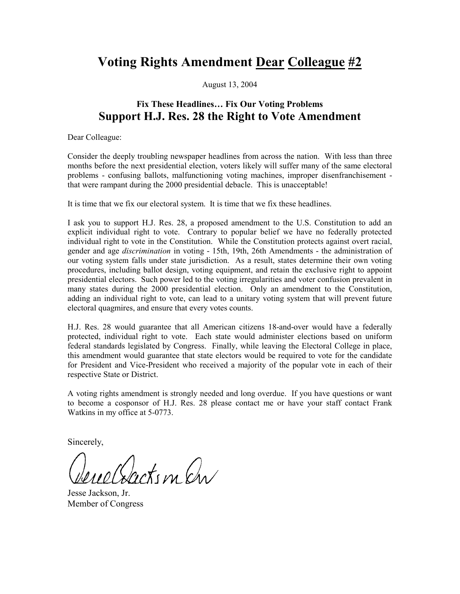### Voting Rights Amendment Dear Colleague #2

August 13, 2004

### Fix These Headlines… Fix Our Voting Problems Support H.J. Res. 28 the Right to Vote Amendment

Dear Colleague:

Consider the deeply troubling newspaper headlines from across the nation. With less than three months before the next presidential election, voters likely will suffer many of the same electoral problems - confusing ballots, malfunctioning voting machines, improper disenfranchisement that were rampant during the 2000 presidential debacle. This is unacceptable!

It is time that we fix our electoral system. It is time that we fix these headlines.

I ask you to support H.J. Res. 28, a proposed amendment to the U.S. Constitution to add an explicit individual right to vote. Contrary to popular belief we have no federally protected individual right to vote in the Constitution. While the Constitution protects against overt racial, gender and age discrimination in voting - 15th, 19th, 26th Amendments - the administration of our voting system falls under state jurisdiction. As a result, states determine their own voting procedures, including ballot design, voting equipment, and retain the exclusive right to appoint presidential electors. Such power led to the voting irregularities and voter confusion prevalent in many states during the 2000 presidential election. Only an amendment to the Constitution, adding an individual right to vote, can lead to a unitary voting system that will prevent future electoral quagmires, and ensure that every votes counts.

H.J. Res. 28 would guarantee that all American citizens 18-and-over would have a federally protected, individual right to vote. Each state would administer elections based on uniform federal standards legislated by Congress. Finally, while leaving the Electoral College in place, this amendment would guarantee that state electors would be required to vote for the candidate for President and Vice-President who received a majority of the popular vote in each of their respective State or District.

A voting rights amendment is strongly needed and long overdue. If you have questions or want to become a cosponsor of H.J. Res. 28 please contact me or have your staff contact Frank Watkins in my office at 5-0773.

Sincerely,

Rockin an

Jesse Jackson, Jr. Member of Congress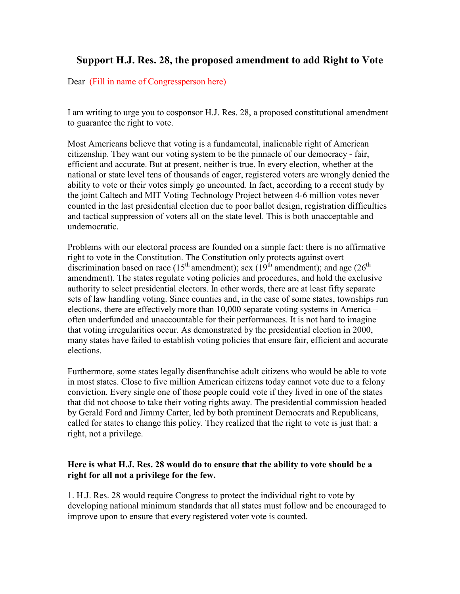### Support H.J. Res. 28, the proposed amendment to add Right to Vote

Dear (Fill in name of Congressperson here)

I am writing to urge you to cosponsor H.J. Res. 28, a proposed constitutional amendment to guarantee the right to vote.

Most Americans believe that voting is a fundamental, inalienable right of American citizenship. They want our voting system to be the pinnacle of our democracy - fair, efficient and accurate. But at present, neither is true. In every election, whether at the national or state level tens of thousands of eager, registered voters are wrongly denied the ability to vote or their votes simply go uncounted. In fact, according to a recent study by the joint Caltech and MIT Voting Technology Project between 4-6 million votes never counted in the last presidential election due to poor ballot design, registration difficulties and tactical suppression of voters all on the state level. This is both unacceptable and undemocratic.

Problems with our electoral process are founded on a simple fact: there is no affirmative right to vote in the Constitution. The Constitution only protects against overt discrimination based on race (15<sup>th</sup> amendment); sex (19<sup>th</sup> amendment); and age (26<sup>th</sup>) amendment). The states regulate voting policies and procedures, and hold the exclusive authority to select presidential electors. In other words, there are at least fifty separate sets of law handling voting. Since counties and, in the case of some states, townships run elections, there are effectively more than 10,000 separate voting systems in America – often underfunded and unaccountable for their performances. It is not hard to imagine that voting irregularities occur. As demonstrated by the presidential election in 2000, many states have failed to establish voting policies that ensure fair, efficient and accurate elections.

Furthermore, some states legally disenfranchise adult citizens who would be able to vote in most states. Close to five million American citizens today cannot vote due to a felony conviction. Every single one of those people could vote if they lived in one of the states that did not choose to take their voting rights away. The presidential commission headed by Gerald Ford and Jimmy Carter, led by both prominent Democrats and Republicans, called for states to change this policy. They realized that the right to vote is just that: a right, not a privilege.

#### Here is what H.J. Res. 28 would do to ensure that the ability to vote should be a right for all not a privilege for the few.

1. H.J. Res. 28 would require Congress to protect the individual right to vote by developing national minimum standards that all states must follow and be encouraged to improve upon to ensure that every registered voter vote is counted.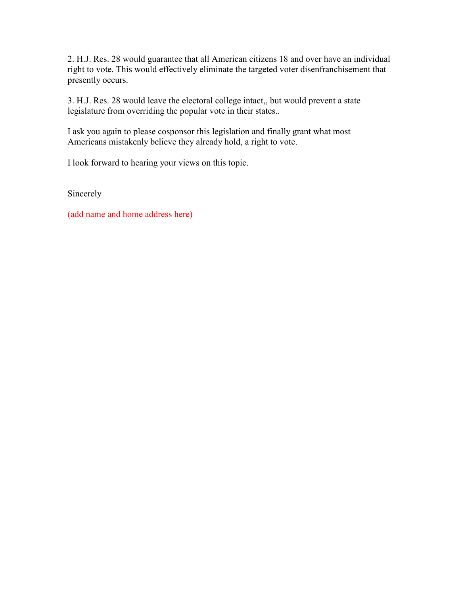2. H.J. Res. 28 would guarantee that all American citizens 18 and over have an individual right to vote. This would effectively eliminate the targeted voter disenfranchisement that presently occurs.

3. H.J. Res. 28 would leave the electoral college intact,, but would prevent a state legislature from overriding the popular vote in their states..

I ask you again to please cosponsor this legislation and finally grant what most Americans mistakenly believe they already hold, a right to vote.

I look forward to hearing your views on this topic.

Sincerely

(add name and home address here)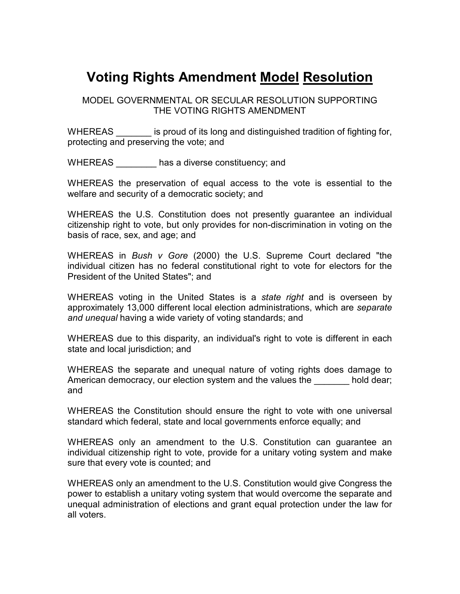## Voting Rights Amendment Model Resolution

MODEL GOVERNMENTAL OR SECULAR RESOLUTION SUPPORTING THE VOTING RIGHTS AMENDMENT

WHEREAS **with all is also in** is proud of its long and distinguished tradition of fighting for, protecting and preserving the vote; and

WHEREAS has a diverse constituency; and

WHEREAS the preservation of equal access to the vote is essential to the welfare and security of a democratic society; and

WHEREAS the U.S. Constitution does not presently guarantee an individual citizenship right to vote, but only provides for non-discrimination in voting on the basis of race, sex, and age; and

WHEREAS in Bush v Gore (2000) the U.S. Supreme Court declared "the individual citizen has no federal constitutional right to vote for electors for the President of the United States"; and

WHEREAS voting in the United States is a *state right* and is overseen by approximately 13,000 different local election administrations, which are separate and unequal having a wide variety of voting standards; and

WHEREAS due to this disparity, an individual's right to vote is different in each state and local jurisdiction; and

WHEREAS the separate and unequal nature of voting rights does damage to American democracy, our election system and the values the hold dear; and

WHEREAS the Constitution should ensure the right to vote with one universal standard which federal, state and local governments enforce equally; and

WHEREAS only an amendment to the U.S. Constitution can guarantee an individual citizenship right to vote, provide for a unitary voting system and make sure that every vote is counted; and

WHEREAS only an amendment to the U.S. Constitution would give Congress the power to establish a unitary voting system that would overcome the separate and unequal administration of elections and grant equal protection under the law for all voters.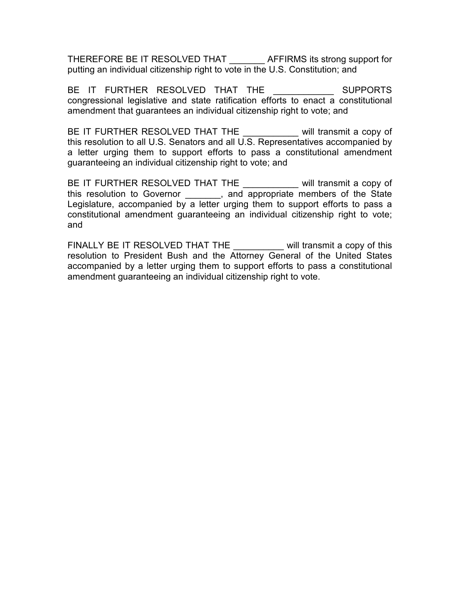THEREFORE BE IT RESOLVED THAT \_\_\_\_\_\_\_ AFFIRMS its strong support for putting an individual citizenship right to vote in the U.S. Constitution; and

BE IT FURTHER RESOLVED THAT THE **EXAMPLE SUPPORTS** congressional legislative and state ratification efforts to enact a constitutional amendment that guarantees an individual citizenship right to vote; and

BE IT FURTHER RESOLVED THAT THE will transmit a copy of this resolution to all U.S. Senators and all U.S. Representatives accompanied by a letter urging them to support efforts to pass a constitutional amendment guaranteeing an individual citizenship right to vote; and

BE IT FURTHER RESOLVED THAT THE will transmit a copy of this resolution to Governor \_\_\_\_\_\_\_, and appropriate members of the State Legislature, accompanied by a letter urging them to support efforts to pass a constitutional amendment guaranteeing an individual citizenship right to vote; and

FINALLY BE IT RESOLVED THAT THE will transmit a copy of this resolution to President Bush and the Attorney General of the United States accompanied by a letter urging them to support efforts to pass a constitutional amendment guaranteeing an individual citizenship right to vote.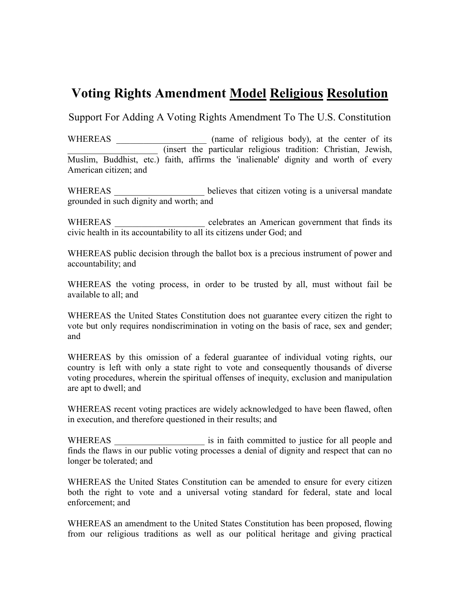## Voting Rights Amendment Model Religious Resolution

Support For Adding A Voting Rights Amendment To The U.S. Constitution

WHEREAS (name of religious body), at the center of its \_\_\_\_\_\_\_\_\_\_\_\_\_\_\_\_\_\_\_\_ (insert the particular religious tradition: Christian, Jewish, Muslim, Buddhist, etc.) faith, affirms the 'inalienable' dignity and worth of every American citizen; and

WHEREAS \_\_\_\_\_\_\_\_\_\_\_\_\_\_\_\_\_\_\_\_\_\_\_ believes that citizen voting is a universal mandate grounded in such dignity and worth; and

WHEREAS \_\_\_\_\_\_\_\_\_\_\_\_\_\_\_\_\_\_\_\_\_\_ celebrates an American government that finds its civic health in its accountability to all its citizens under God; and

WHEREAS public decision through the ballot box is a precious instrument of power and accountability; and

WHEREAS the voting process, in order to be trusted by all, must without fail be available to all; and

WHEREAS the United States Constitution does not guarantee every citizen the right to vote but only requires nondiscrimination in voting on the basis of race, sex and gender; and

WHEREAS by this omission of a federal guarantee of individual voting rights, our country is left with only a state right to vote and consequently thousands of diverse voting procedures, wherein the spiritual offenses of inequity, exclusion and manipulation are apt to dwell; and

WHEREAS recent voting practices are widely acknowledged to have been flawed, often in execution, and therefore questioned in their results; and

WHEREAS \_\_\_\_\_\_\_\_\_\_\_\_\_\_\_\_\_\_\_\_ is in faith committed to justice for all people and finds the flaws in our public voting processes a denial of dignity and respect that can no longer be tolerated; and

WHEREAS the United States Constitution can be amended to ensure for every citizen both the right to vote and a universal voting standard for federal, state and local enforcement; and

WHEREAS an amendment to the United States Constitution has been proposed, flowing from our religious traditions as well as our political heritage and giving practical